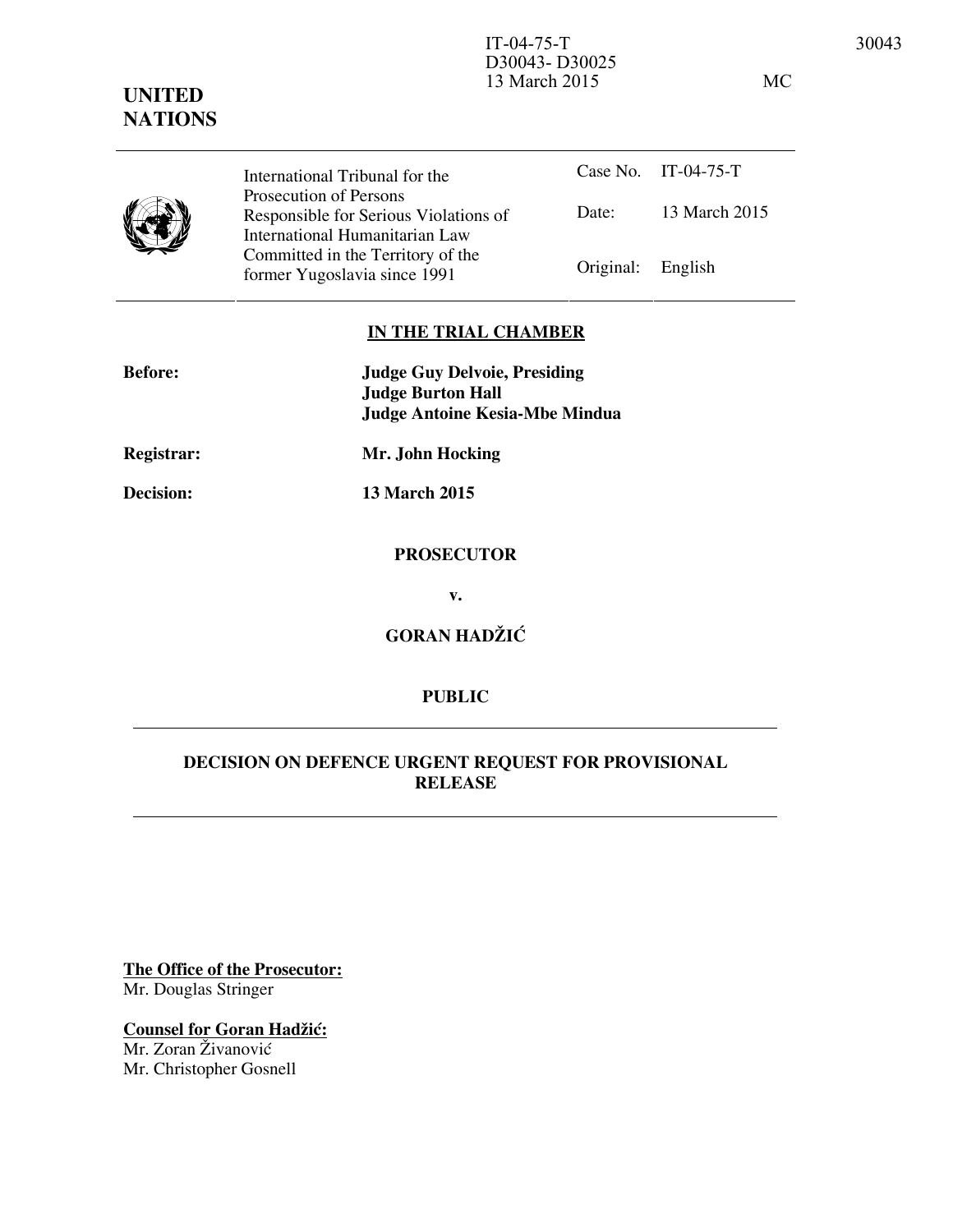IT-04-75-T 30043 D30043- D30025 13 March 2015 MC

# **UNITED NATIONS**



Case No. IT-04-75-T Date: 13 March 2015 International Tribunal for the Prosecution of Persons Responsible for Serious Violations of International Humanitarian Law Committed in the Territory of the Former Yugoslavia since 1991 Original: English

## **IN THE TRIAL CHAMBER**

| <b>Before:</b>    | <b>Judge Guy Delvoie, Presiding</b><br><b>Judge Burton Hall</b><br><b>Judge Antoine Kesia-Mbe Mindua</b> |
|-------------------|----------------------------------------------------------------------------------------------------------|
| <b>Registrar:</b> | Mr. John Hocking                                                                                         |
| <b>Decision:</b>  | <b>13 March 2015</b>                                                                                     |
|                   | <b>PROSECUTOR</b>                                                                                        |
|                   | v.                                                                                                       |
|                   | <b>GORAN HADŽIĆ</b>                                                                                      |

## **PUBLIC**

## **DECISION ON DEFENCE URGENT REQUEST FOR PROVISIONAL RELEASE**

**The Office of the Prosecutor:** Mr. Douglas Stringer

**Counsel for Goran Hadžić:** Mr. Zoran Živanović Mr. Christopher Gosnell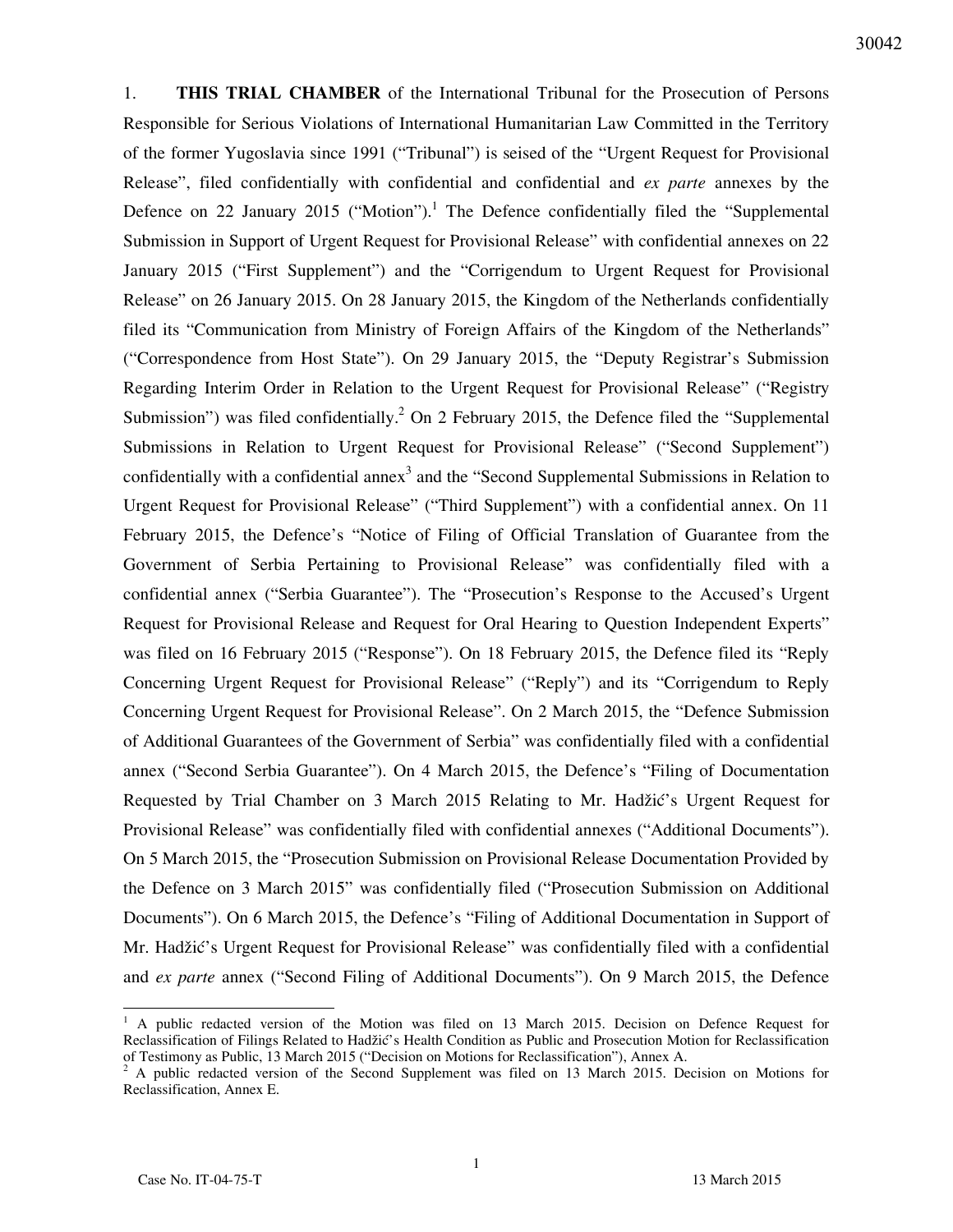1. **THIS TRIAL CHAMBER** of the International Tribunal for the Prosecution of Persons Responsible for Serious Violations of International Humanitarian Law Committed in the Territory of the former Yugoslavia since 1991 ("Tribunal") is seised of the "Urgent Request for Provisional Release", filed confidentially with confidential and confidential and *ex parte* annexes by the Defence on 22 January 2015 ("Motion").<sup>1</sup> The Defence confidentially filed the "Supplemental Submission in Support of Urgent Request for Provisional Release" with confidential annexes on 22 January 2015 ("First Supplement") and the "Corrigendum to Urgent Request for Provisional Release" on 26 January 2015. On 28 January 2015, the Kingdom of the Netherlands confidentially filed its "Communication from Ministry of Foreign Affairs of the Kingdom of the Netherlands" ("Correspondence from Host State"). On 29 January 2015, the "Deputy Registrar's Submission Regarding Interim Order in Relation to the Urgent Request for Provisional Release" ("Registry Submission") was filed confidentially.<sup>2</sup> On 2 February 2015, the Defence filed the "Supplemental Submissions in Relation to Urgent Request for Provisional Release" ("Second Supplement") confidentially with a confidential annex<sup>3</sup> and the "Second Supplemental Submissions in Relation to Urgent Request for Provisional Release" ("Third Supplement") with a confidential annex. On 11 February 2015, the Defence's "Notice of Filing of Official Translation of Guarantee from the Government of Serbia Pertaining to Provisional Release" was confidentially filed with a confidential annex ("Serbia Guarantee"). The "Prosecution's Response to the Accused's Urgent Request for Provisional Release and Request for Oral Hearing to Question Independent Experts" was filed on 16 February 2015 ("Response"). On 18 February 2015, the Defence filed its "Reply Concerning Urgent Request for Provisional Release" ("Reply") and its "Corrigendum to Reply Concerning Urgent Request for Provisional Release". On 2 March 2015, the "Defence Submission of Additional Guarantees of the Government of Serbia" was confidentially filed with a confidential annex ("Second Serbia Guarantee"). On 4 March 2015, the Defence's "Filing of Documentation Requested by Trial Chamber on 3 March 2015 Relating to Mr. Hadžić's Urgent Request for Provisional Release" was confidentially filed with confidential annexes ("Additional Documents"). On 5 March 2015, the "Prosecution Submission on Provisional Release Documentation Provided by the Defence on 3 March 2015" was confidentially filed ("Prosecution Submission on Additional Documents"). On 6 March 2015, the Defence's "Filing of Additional Documentation in Support of Mr. Hadžić's Urgent Request for Provisional Release" was confidentially filed with a confidential and *ex parte* annex ("Second Filing of Additional Documents"). On 9 March 2015, the Defence

<sup>&</sup>lt;sup>1</sup> A public redacted version of the Motion was filed on 13 March 2015. Decision on Defence Request for Reclassification of Filings Related to Hadžić's Health Condition as Public and Prosecution Motion for Reclassification of Testimony as Public, 13 March 2015 ("Decision on Motions for Reclassification"), Annex A.

<sup>&</sup>lt;sup>2</sup> A public redacted version of the Second Supplement was filed on 13 March 2015. Decision on Motions for Reclassification, Annex E.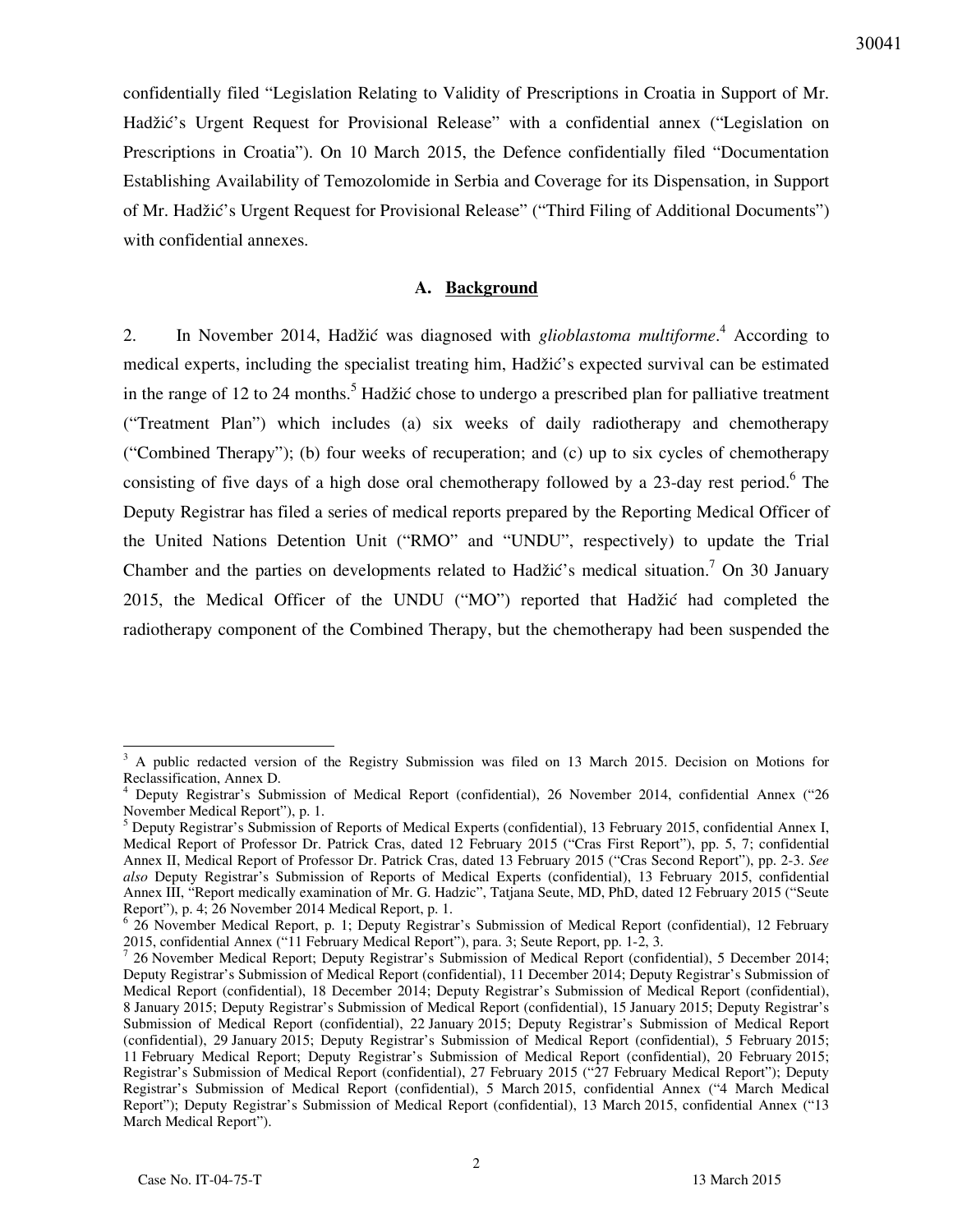confidentially filed "Legislation Relating to Validity of Prescriptions in Croatia in Support of Mr. Hadžić's Urgent Request for Provisional Release" with a confidential annex ("Legislation on Prescriptions in Croatia"). On 10 March 2015, the Defence confidentially filed "Documentation Establishing Availability of Temozolomide in Serbia and Coverage for its Dispensation, in Support of Mr. Hadžić's Urgent Request for Provisional Release" ("Third Filing of Additional Documents") with confidential annexes.

### **A. Background**

2. In November 2014, Hadžić was diagnosed with *glioblastoma multiforme*. 4 According to medical experts, including the specialist treating him, Hadžić's expected survival can be estimated in the range of 12 to 24 months.<sup>5</sup> Hadžić chose to undergo a prescribed plan for palliative treatment ("Treatment Plan") which includes (a) six weeks of daily radiotherapy and chemotherapy ("Combined Therapy"); (b) four weeks of recuperation; and (c) up to six cycles of chemotherapy consisting of five days of a high dose oral chemotherapy followed by a 23-day rest period.<sup>6</sup> The Deputy Registrar has filed a series of medical reports prepared by the Reporting Medical Officer of the United Nations Detention Unit ("RMO" and "UNDU", respectively) to update the Trial Chamber and the parties on developments related to Hadžić's medical situation.<sup>7</sup> On 30 January 2015, the Medical Officer of the UNDU ("MO") reported that Hadžić had completed the radiotherapy component of the Combined Therapy, but the chemotherapy had been suspended the

<sup>&</sup>lt;sup>3</sup> A public redacted version of the Registry Submission was filed on 13 March 2015. Decision on Motions for Reclassification, Annex D.

<sup>4</sup> Deputy Registrar's Submission of Medical Report (confidential), 26 November 2014, confidential Annex ("26 November Medical Report"), p. 1.

<sup>&</sup>lt;sup>5</sup> Deputy Registrar's Submission of Reports of Medical Experts (confidential), 13 February 2015, confidential Annex I, Medical Report of Professor Dr. Patrick Cras, dated 12 February 2015 ("Cras First Report"), pp. 5, 7; confidential Annex II, Medical Report of Professor Dr. Patrick Cras, dated 13 February 2015 ("Cras Second Report"), pp. 2-3. *See also* Deputy Registrar's Submission of Reports of Medical Experts (confidential), 13 February 2015, confidential Annex III, "Report medically examination of Mr. G. Hadzic", Tatjana Seute, MD, PhD, dated 12 February 2015 ("Seute Report"), p. 4; 26 November 2014 Medical Report, p. 1.

<sup>&</sup>lt;sup>6</sup> 26 November Medical Report, p. 1; Deputy Registrar's Submission of Medical Report (confidential), 12 February 2015, confidential Annex ("11 February Medical Report"), para. 3; Seute Report, pp. 1-2, 3.

<sup>&</sup>lt;sup>7</sup> 26 November Medical Report; Deputy Registrar's Submission of Medical Report (confidential), 5 December 2014; Deputy Registrar's Submission of Medical Report (confidential), 11 December 2014; Deputy Registrar's Submission of Medical Report (confidential), 18 December 2014; Deputy Registrar's Submission of Medical Report (confidential), 8 January 2015; Deputy Registrar's Submission of Medical Report (confidential), 15 January 2015; Deputy Registrar's Submission of Medical Report (confidential), 22 January 2015; Deputy Registrar's Submission of Medical Report (confidential), 29 January 2015; Deputy Registrar's Submission of Medical Report (confidential), 5 February 2015; 11 February Medical Report; Deputy Registrar's Submission of Medical Report (confidential), 20 February 2015; Registrar's Submission of Medical Report (confidential), 27 February 2015 ("27 February Medical Report"); Deputy Registrar's Submission of Medical Report (confidential), 5 March 2015, confidential Annex ("4 March Medical Report"); Deputy Registrar's Submission of Medical Report (confidential), 13 March 2015, confidential Annex ("13 March Medical Report").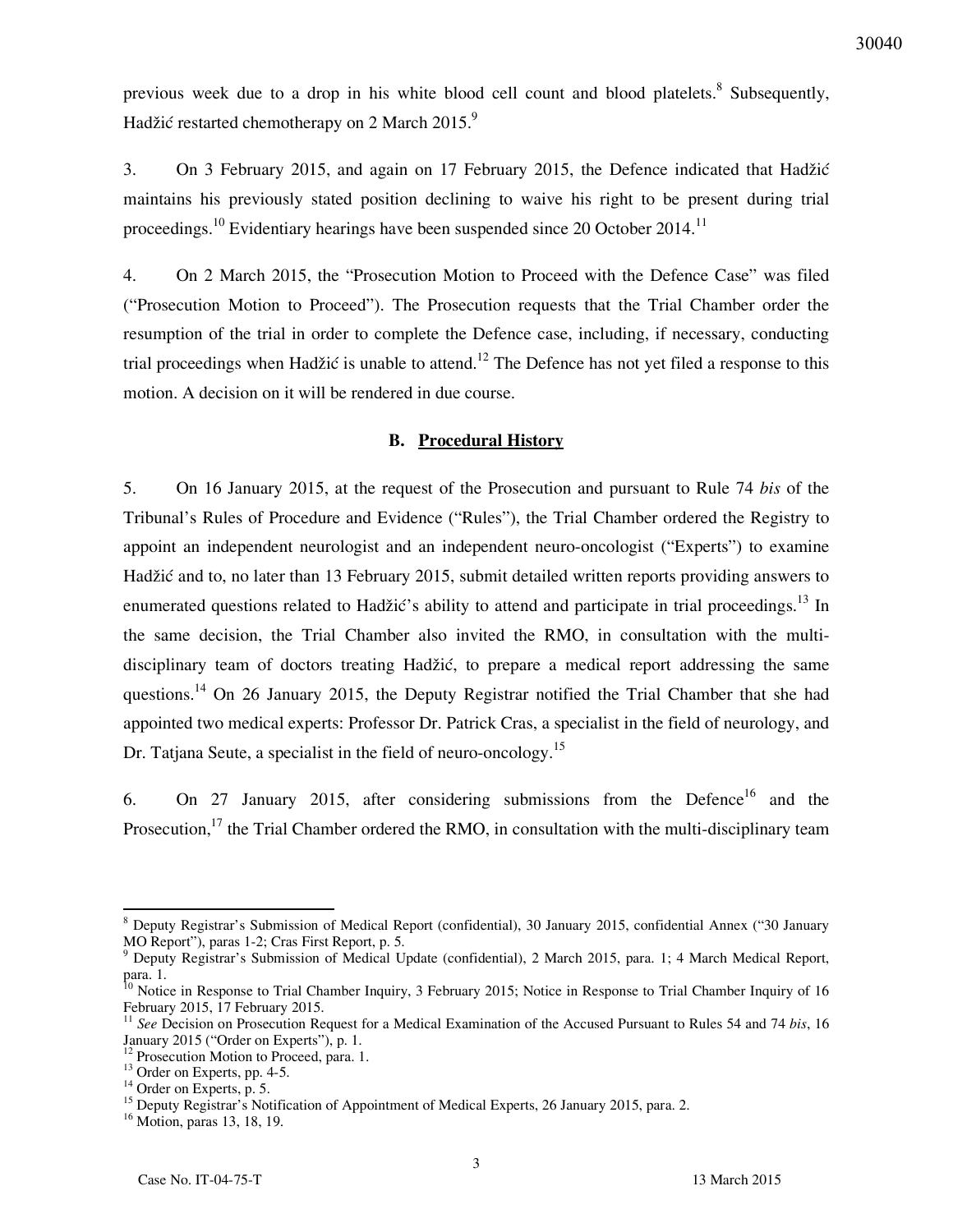previous week due to a drop in his white blood cell count and blood platelets.<sup>8</sup> Subsequently, Hadžić restarted chemotherapy on 2 March 2015. $9$ 

3. On 3 February 2015, and again on 17 February 2015, the Defence indicated that Hadžić maintains his previously stated position declining to waive his right to be present during trial proceedings.<sup>10</sup> Evidentiary hearings have been suspended since 20 October 2014.<sup>11</sup>

4. On 2 March 2015, the "Prosecution Motion to Proceed with the Defence Case" was filed ("Prosecution Motion to Proceed"). The Prosecution requests that the Trial Chamber order the resumption of the trial in order to complete the Defence case, including, if necessary, conducting trial proceedings when Hadžić is unable to attend.<sup>12</sup> The Defence has not yet filed a response to this motion. A decision on it will be rendered in due course.

#### **B. Procedural History**

5. On 16 January 2015, at the request of the Prosecution and pursuant to Rule 74 *bis* of the Tribunal's Rules of Procedure and Evidence ("Rules"), the Trial Chamber ordered the Registry to appoint an independent neurologist and an independent neuro-oncologist ("Experts") to examine Hadžić and to, no later than 13 February 2015, submit detailed written reports providing answers to enumerated questions related to Hadžić's ability to attend and participate in trial proceedings.<sup>13</sup> In the same decision, the Trial Chamber also invited the RMO, in consultation with the multidisciplinary team of doctors treating Hadžić, to prepare a medical report addressing the same questions.<sup>14</sup> On 26 January 2015, the Deputy Registrar notified the Trial Chamber that she had appointed two medical experts: Professor Dr. Patrick Cras, a specialist in the field of neurology, and Dr. Tatjana Seute, a specialist in the field of neuro-oncology.<sup>15</sup>

6. On 27 January 2015, after considering submissions from the Defence<sup>16</sup> and the Prosecution,<sup>17</sup> the Trial Chamber ordered the RMO, in consultation with the multi-disciplinary team

<sup>&</sup>lt;sup>8</sup> Deputy Registrar's Submission of Medical Report (confidential), 30 January 2015, confidential Annex ("30 January MO Report"), paras 1-2; Cras First Report, p. 5.

<sup>&</sup>lt;sup>9</sup> Deputy Registrar's Submission of Medical Update (confidential), 2 March 2015, para. 1; 4 March Medical Report, para. 1.

<sup>&</sup>lt;sup>10</sup> Notice in Response to Trial Chamber Inquiry, 3 February 2015; Notice in Response to Trial Chamber Inquiry of 16 February 2015, 17 February 2015.

<sup>&</sup>lt;sup>11</sup> See Decision on Prosecution Request for a Medical Examination of the Accused Pursuant to Rules 54 and 74 *bis*, 16 January 2015 ("Order on Experts"), p. 1.

<sup>&</sup>lt;sup>12</sup> Prosecution Motion to Proceed, para. 1.

<sup>&</sup>lt;sup>13</sup> Order on Experts, pp. 4-5.

<sup>&</sup>lt;sup>14</sup> Order on Experts, p. 5.

<sup>&</sup>lt;sup>15</sup> Deputy Registrar's Notification of Appointment of Medical Experts, 26 January 2015, para. 2.

<sup>16</sup> Motion, paras 13, 18, 19.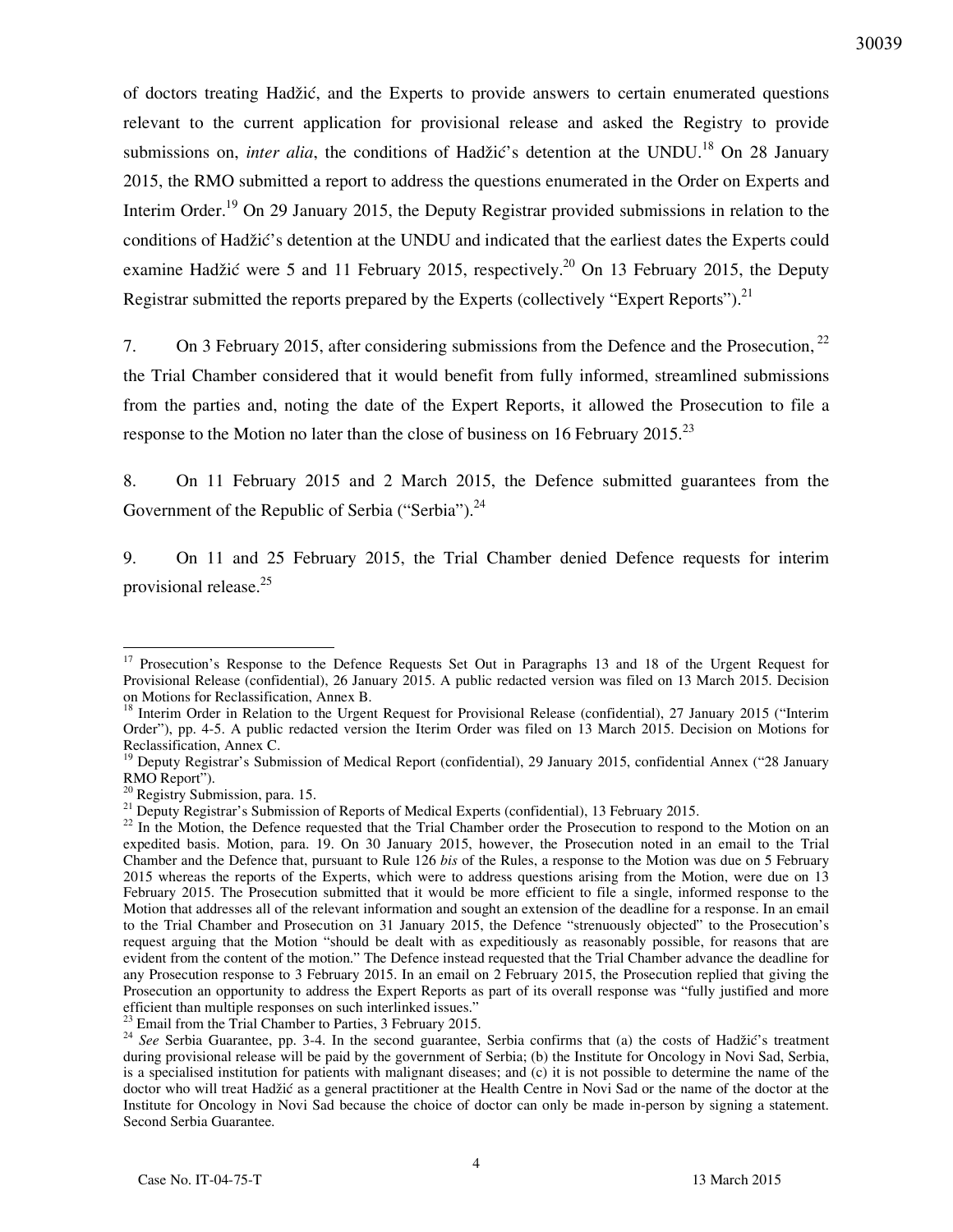of doctors treating Hadžić, and the Experts to provide answers to certain enumerated questions relevant to the current application for provisional release and asked the Registry to provide submissions on, *inter alia*, the conditions of Hadžić's detention at the UNDU.<sup>18</sup> On 28 January 2015, the RMO submitted a report to address the questions enumerated in the Order on Experts and Interim Order.<sup>19</sup> On 29 January 2015, the Deputy Registrar provided submissions in relation to the conditions of Hadžić's detention at the UNDU and indicated that the earliest dates the Experts could examine Hadžić were 5 and 11 February 2015, respectively.<sup>20</sup> On 13 February 2015, the Deputy Registrar submitted the reports prepared by the Experts (collectively "Expert Reports").<sup>21</sup>

7. On 3 February 2015, after considering submissions from the Defence and the Prosecution,  $^{22}$ the Trial Chamber considered that it would benefit from fully informed, streamlined submissions from the parties and, noting the date of the Expert Reports, it allowed the Prosecution to file a response to the Motion no later than the close of business on 16 February 2015.<sup>23</sup>

8. On 11 February 2015 and 2 March 2015, the Defence submitted guarantees from the Government of the Republic of Serbia ("Serbia"). $^{24}$ 

9. On 11 and 25 February 2015, the Trial Chamber denied Defence requests for interim provisional release.<sup>25</sup>

 $\overline{a}$ 

 $^{23}$  Email from the Trial Chamber to Parties, 3 February 2015.

<sup>&</sup>lt;sup>17</sup> Prosecution's Response to the Defence Requests Set Out in Paragraphs 13 and 18 of the Urgent Request for Provisional Release (confidential), 26 January 2015. A public redacted version was filed on 13 March 2015. Decision on Motions for Reclassification, Annex B.

<sup>&</sup>lt;sup>18</sup> Interim Order in Relation to the Urgent Request for Provisional Release (confidential), 27 January 2015 ("Interim Order"), pp. 4-5. A public redacted version the Iterim Order was filed on 13 March 2015. Decision on Motions for Reclassification, Annex C.

<sup>&</sup>lt;sup>19</sup> Deputy Registrar's Submission of Medical Report (confidential), 29 January 2015, confidential Annex ("28 January RMO Report").

<sup>&</sup>lt;sup>20</sup> Registry Submission, para. 15.

<sup>&</sup>lt;sup>21</sup> Deputy Registrar's Submission of Reports of Medical Experts (confidential), 13 February 2015.

<sup>&</sup>lt;sup>22</sup> In the Motion, the Defence requested that the Trial Chamber order the Prosecution to respond to the Motion on an expedited basis. Motion, para. 19. On 30 January 2015, however, the Prosecution noted in an email to the Trial Chamber and the Defence that, pursuant to Rule 126 *bis* of the Rules, a response to the Motion was due on 5 February 2015 whereas the reports of the Experts, which were to address questions arising from the Motion, were due on 13 February 2015. The Prosecution submitted that it would be more efficient to file a single, informed response to the Motion that addresses all of the relevant information and sought an extension of the deadline for a response. In an email to the Trial Chamber and Prosecution on 31 January 2015, the Defence "strenuously objected" to the Prosecution's request arguing that the Motion "should be dealt with as expeditiously as reasonably possible, for reasons that are evident from the content of the motion." The Defence instead requested that the Trial Chamber advance the deadline for any Prosecution response to 3 February 2015. In an email on 2 February 2015, the Prosecution replied that giving the Prosecution an opportunity to address the Expert Reports as part of its overall response was "fully justified and more efficient than multiple responses on such interlinked issues."

<sup>&</sup>lt;sup>24</sup> See Serbia Guarantee, pp. 3-4. In the second guarantee, Serbia confirms that (a) the costs of Hadžić's treatment during provisional release will be paid by the government of Serbia; (b) the Institute for Oncology in Novi Sad, Serbia, is a specialised institution for patients with malignant diseases; and (c) it is not possible to determine the name of the doctor who will treat Hadžić as a general practitioner at the Health Centre in Novi Sad or the name of the doctor at the Institute for Oncology in Novi Sad because the choice of doctor can only be made in-person by signing a statement. Second Serbia Guarantee.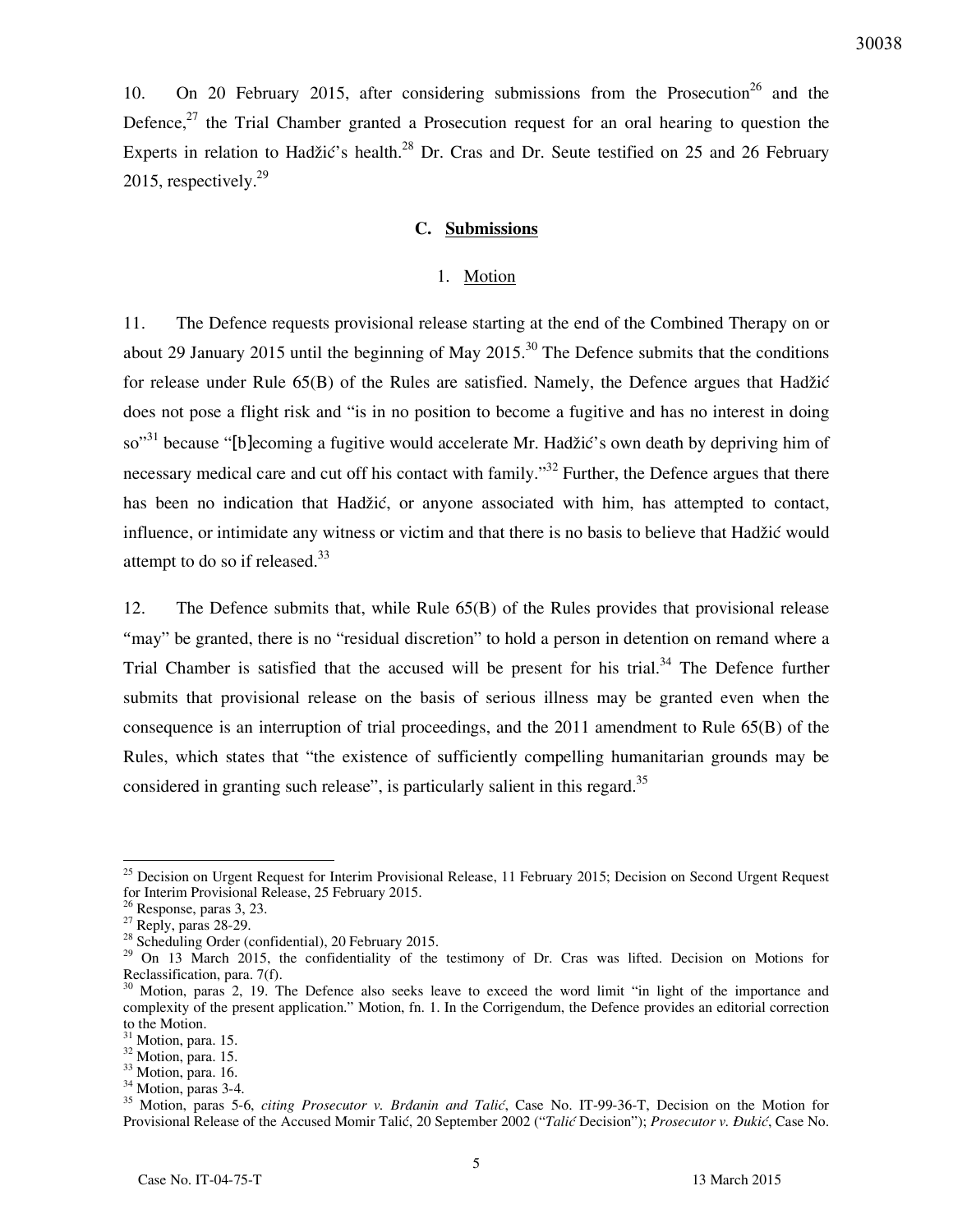10. On 20 February 2015, after considering submissions from the Prosecution<sup>26</sup> and the Defence,<sup>27</sup> the Trial Chamber granted a Prosecution request for an oral hearing to question the Experts in relation to Hadžić's health.<sup>28</sup> Dr. Cras and Dr. Seute testified on 25 and 26 February 2015, respectively. $^{29}$ 

#### **C. Submissions**

#### 1. Motion

11. The Defence requests provisional release starting at the end of the Combined Therapy on or about 29 January 2015 until the beginning of May 2015.<sup>30</sup> The Defence submits that the conditions for release under Rule 65(B) of the Rules are satisfied. Namely, the Defence argues that Hadžić does not pose a flight risk and "is in no position to become a fugitive and has no interest in doing so"<sup>31</sup> because "[blecoming a fugitive would accelerate Mr. Hadžić's own death by depriving him of necessary medical care and cut off his contact with family."<sup>32</sup> Further, the Defence argues that there has been no indication that Hadžić, or anyone associated with him, has attempted to contact, influence, or intimidate any witness or victim and that there is no basis to believe that Hadžić would attempt to do so if released. $33$ 

12. The Defence submits that, while Rule 65(B) of the Rules provides that provisional release "may" be granted, there is no "residual discretion" to hold a person in detention on remand where a Trial Chamber is satisfied that the accused will be present for his trial. $34$  The Defence further submits that provisional release on the basis of serious illness may be granted even when the consequence is an interruption of trial proceedings, and the 2011 amendment to Rule 65(B) of the Rules, which states that "the existence of sufficiently compelling humanitarian grounds may be considered in granting such release", is particularly salient in this regard. $35$ 

<sup>&</sup>lt;sup>25</sup> Decision on Urgent Request for Interim Provisional Release, 11 February 2015; Decision on Second Urgent Request for Interim Provisional Release, 25 February 2015.

 $26$  Response, paras 3, 23.

 $27$  Reply, paras 28-29.

 $28$  Scheduling Order (confidential), 20 February 2015.

<sup>&</sup>lt;sup>29</sup> On 13 March 2015, the confidentiality of the testimony of Dr. Cras was lifted. Decision on Motions for Reclassification, para. 7(f).

<sup>&</sup>lt;sup>30</sup> Motion, paras 2, 19. The Defence also seeks leave to exceed the word limit "in light of the importance and complexity of the present application." Motion, fn. 1. In the Corrigendum, the Defence provides an editorial correction to the Motion.

<sup>&</sup>lt;sup>31</sup> Motion, para. 15.

<sup>32</sup> Motion, para. 15.

<sup>&</sup>lt;sup>33</sup> Motion, para. 16.

<sup>&</sup>lt;sup>34</sup> Motion, paras 3-4.

<sup>&</sup>lt;sup>35</sup> Motion, paras 5-6, *citing Prosecutor v. Brdanin and Talić*, Case No. IT-99-36-T, Decision on the Motion for Provisional Release of the Accused Momir Talić, 20 September 2002 ("*Talić* Decision"); *Prosecutor v. Ðukić*, Case No.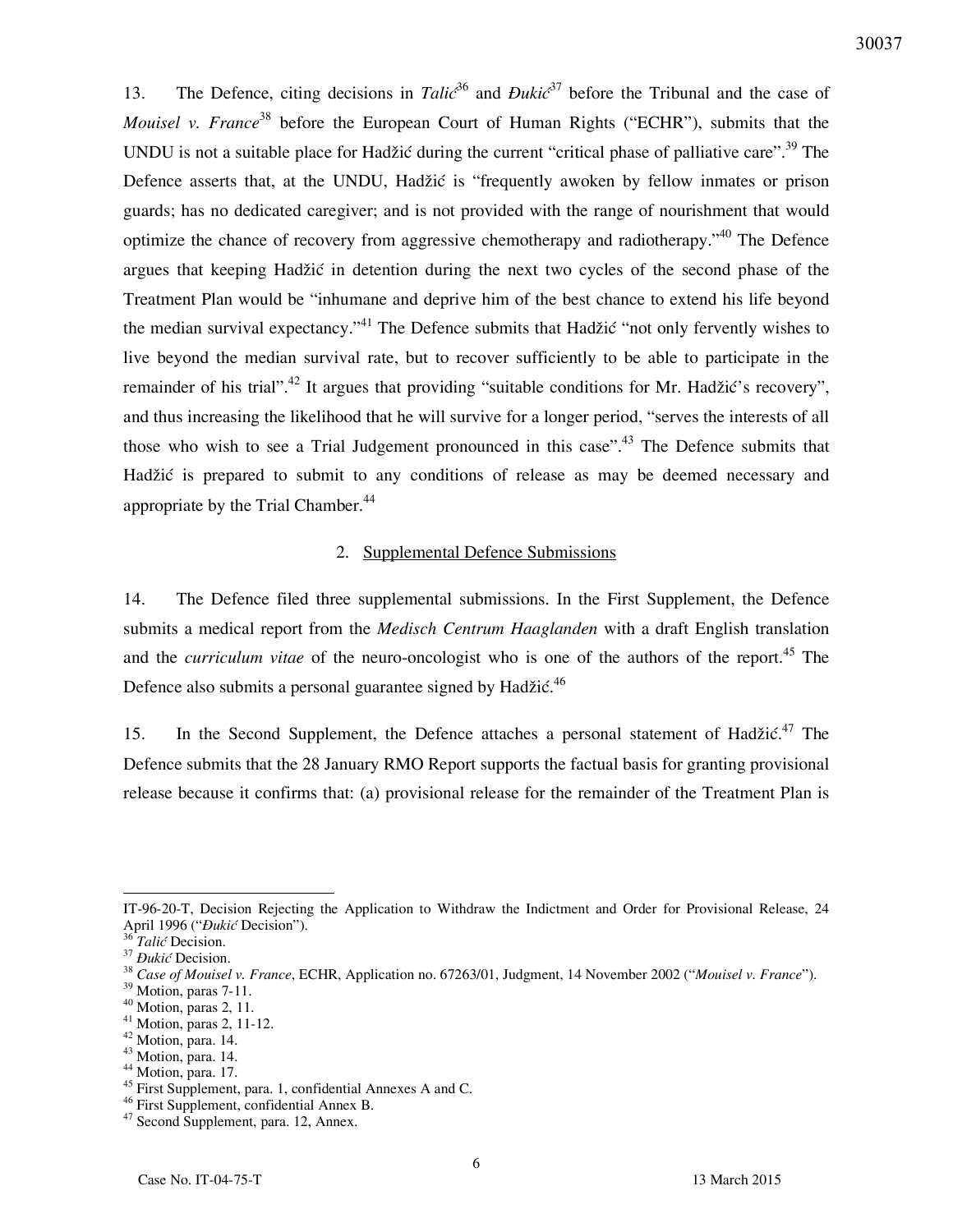13. The Defence, citing decisions in *Talic*<sup>36</sup> and *Đukic*<sup>37</sup> before the Tribunal and the case of *Mouisel v. France*<sup>38</sup> before the European Court of Human Rights ("ECHR"), submits that the UNDU is not a suitable place for Hadžić during the current "critical phase of palliative care".<sup>39</sup> The Defence asserts that, at the UNDU, Hadžić is "frequently awoken by fellow inmates or prison guards; has no dedicated caregiver; and is not provided with the range of nourishment that would optimize the chance of recovery from aggressive chemotherapy and radiotherapy.<sup> $40$ </sup> The Defence argues that keeping Hadžić in detention during the next two cycles of the second phase of the Treatment Plan would be "inhumane and deprive him of the best chance to extend his life beyond the median survival expectancy.<sup>"41</sup> The Defence submits that Hadžić "not only fervently wishes to live beyond the median survival rate, but to recover sufficiently to be able to participate in the remainder of his trial".<sup>42</sup> It argues that providing "suitable conditions for Mr. Hadžić's recovery", and thus increasing the likelihood that he will survive for a longer period, "serves the interests of all those who wish to see a Trial Judgement pronounced in this case".<sup>43</sup> The Defence submits that Hadžić is prepared to submit to any conditions of release as may be deemed necessary and appropriate by the Trial Chamber.<sup>44</sup>

#### 2. Supplemental Defence Submissions

14. The Defence filed three supplemental submissions. In the First Supplement, the Defence submits a medical report from the *Medisch Centrum Haaglanden* with a draft English translation and the *curriculum vitae* of the neuro-oncologist who is one of the authors of the report.<sup>45</sup> The Defence also submits a personal guarantee signed by Hadžić. $46$ 

15. In the Second Supplement, the Defence attaches a personal statement of Hadžić.<sup>47</sup> The Defence submits that the 28 January RMO Report supports the factual basis for granting provisional release because it confirms that: (a) provisional release for the remainder of the Treatment Plan is

IT-96-20-T, Decision Rejecting the Application to Withdraw the Indictment and Order for Provisional Release, 24 April 1996 ("*Ðukić* Decision").

<sup>36</sup> *Talić* Decision.

<sup>37</sup> *Ðukić* Decision.

<sup>38</sup> *Case of Mouisel v. France*, ECHR, Application no. 67263/01, Judgment, 14 November 2002 ("*Mouisel v. France*").

<sup>&</sup>lt;sup>39</sup> Motion, paras 7-11.

<sup>40</sup> Motion, paras 2, 11.

<sup>41</sup> Motion, paras 2, 11-12.

<sup>42</sup> Motion, para. 14.

<sup>43</sup> Motion, para. 14.

<sup>&</sup>lt;sup>44</sup> Motion, para. 17.

<sup>&</sup>lt;sup>45</sup> First Supplement, para. 1, confidential Annexes A and C.

<sup>46</sup> First Supplement, confidential Annex B.

<sup>47</sup> Second Supplement, para. 12, Annex.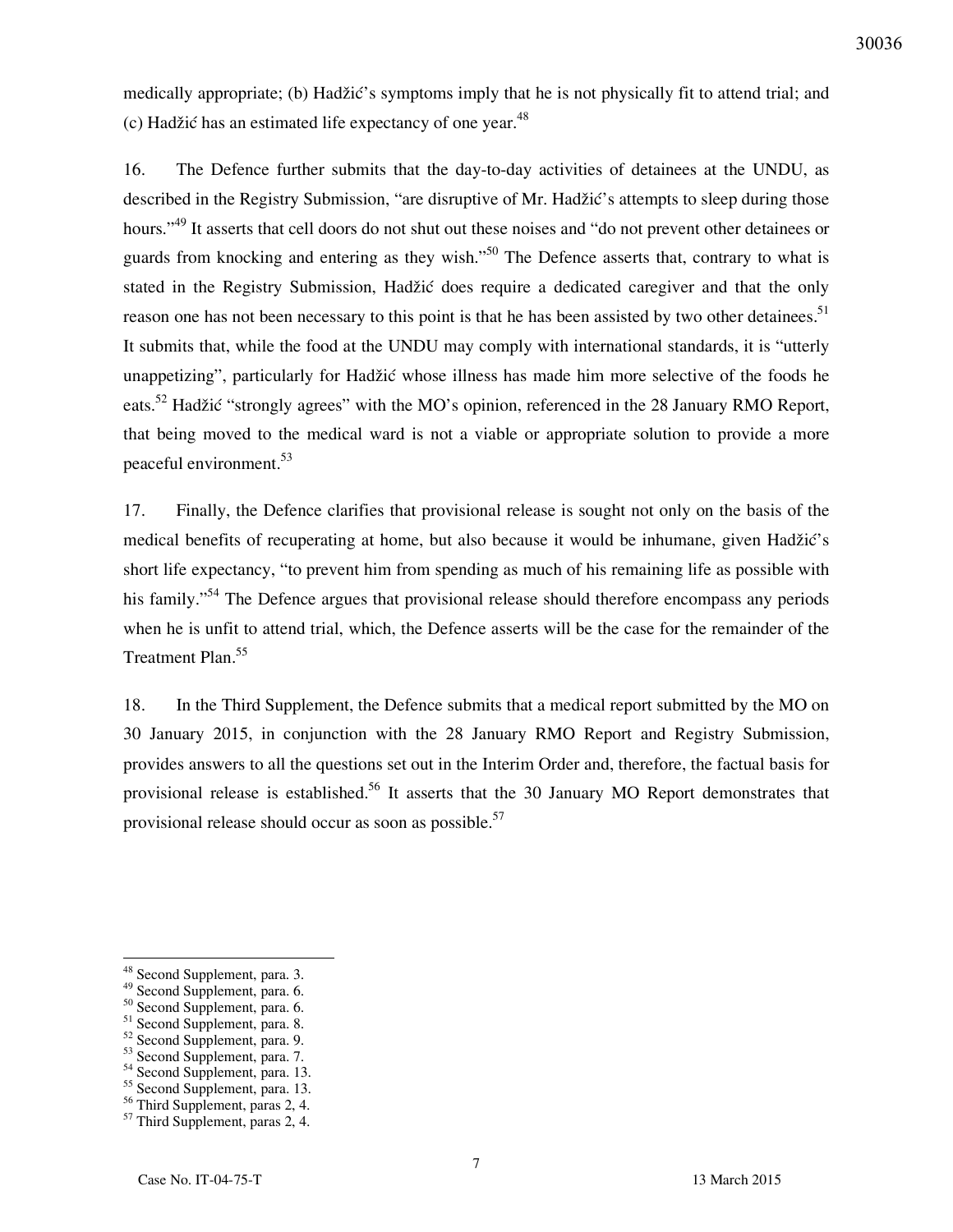medically appropriate; (b) Hadžić's symptoms imply that he is not physically fit to attend trial; and (c) Hadžić has an estimated life expectancy of one year. $48$ 

16. The Defence further submits that the day-to-day activities of detainees at the UNDU, as described in the Registry Submission, "are disruptive of Mr. Hadžić's attempts to sleep during those hours."<sup>49</sup> It asserts that cell doors do not shut out these noises and "do not prevent other detainees or guards from knocking and entering as they wish.<sup>"50</sup> The Defence asserts that, contrary to what is stated in the Registry Submission, Hadžić does require a dedicated caregiver and that the only reason one has not been necessary to this point is that he has been assisted by two other detainees.<sup>51</sup> It submits that, while the food at the UNDU may comply with international standards, it is "utterly unappetizing", particularly for Hadžić whose illness has made him more selective of the foods he eats.<sup>52</sup> Hadžić "strongly agrees" with the MO's opinion, referenced in the 28 January RMO Report, that being moved to the medical ward is not a viable or appropriate solution to provide a more peaceful environment.<sup>53</sup>

17. Finally, the Defence clarifies that provisional release is sought not only on the basis of the medical benefits of recuperating at home, but also because it would be inhumane, given Hadžić's short life expectancy, "to prevent him from spending as much of his remaining life as possible with his family."<sup>54</sup> The Defence argues that provisional release should therefore encompass any periods when he is unfit to attend trial, which, the Defence asserts will be the case for the remainder of the Treatment Plan.<sup>55</sup>

18. In the Third Supplement, the Defence submits that a medical report submitted by the MO on 30 January 2015, in conjunction with the 28 January RMO Report and Registry Submission, provides answers to all the questions set out in the Interim Order and, therefore, the factual basis for provisional release is established.<sup>56</sup> It asserts that the 30 January MO Report demonstrates that provisional release should occur as soon as possible.<sup>57</sup>

<sup>48</sup> Second Supplement, para. 3.

<sup>49</sup> Second Supplement, para. 6.

<sup>50</sup> Second Supplement, para. 6.

<sup>51</sup> Second Supplement, para. 8.

<sup>52</sup> Second Supplement, para. 9.

<sup>53</sup> Second Supplement, para. 7.

<sup>54</sup> Second Supplement, para. 13.

<sup>55</sup> Second Supplement, para. 13.

<sup>&</sup>lt;sup>56</sup> Third Supplement, paras 2, 4.

<sup>57</sup> Third Supplement, paras 2, 4.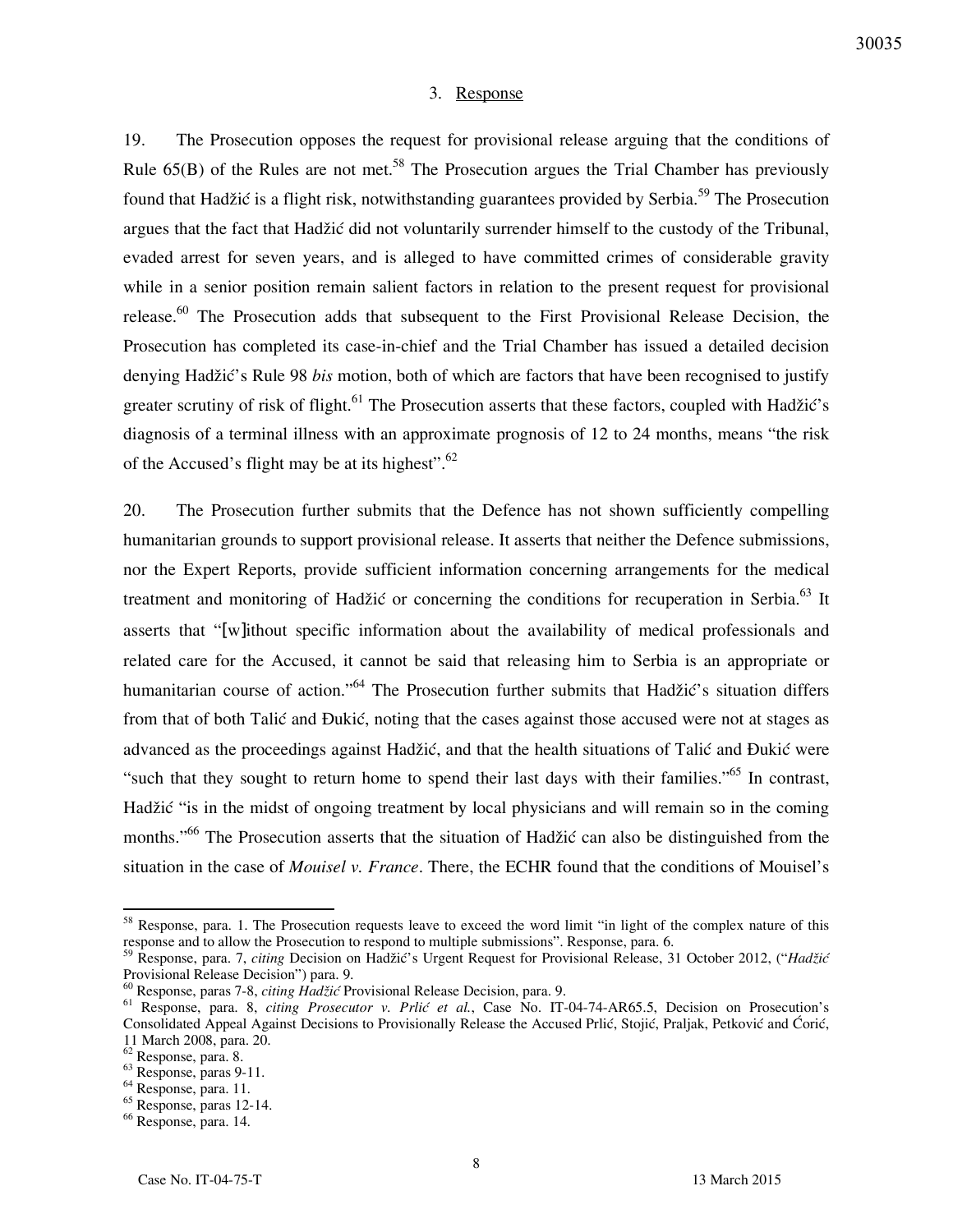#### 3. Response

19. The Prosecution opposes the request for provisional release arguing that the conditions of Rule  $65(B)$  of the Rules are not met.<sup>58</sup> The Prosecution argues the Trial Chamber has previously found that Hadžić is a flight risk, notwithstanding guarantees provided by Serbia.<sup>59</sup> The Prosecution argues that the fact that Hadžić did not voluntarily surrender himself to the custody of the Tribunal, evaded arrest for seven years, and is alleged to have committed crimes of considerable gravity while in a senior position remain salient factors in relation to the present request for provisional release.<sup>60</sup> The Prosecution adds that subsequent to the First Provisional Release Decision, the Prosecution has completed its case-in-chief and the Trial Chamber has issued a detailed decision denying Hadžić's Rule 98 *bis* motion, both of which are factors that have been recognised to justify greater scrutiny of risk of flight.<sup>61</sup> The Prosecution asserts that these factors, coupled with Hadžić's diagnosis of a terminal illness with an approximate prognosis of 12 to 24 months, means "the risk of the Accused's flight may be at its highest". $62$ 

20. The Prosecution further submits that the Defence has not shown sufficiently compelling humanitarian grounds to support provisional release. It asserts that neither the Defence submissions, nor the Expert Reports, provide sufficient information concerning arrangements for the medical treatment and monitoring of Hadžić or concerning the conditions for recuperation in Serbia.<sup>63</sup> It asserts that "[w]ithout specific information about the availability of medical professionals and related care for the Accused, it cannot be said that releasing him to Serbia is an appropriate or humanitarian course of action."<sup>64</sup> The Prosecution further submits that Hadžić's situation differs from that of both Talić and Ðukić, noting that the cases against those accused were not at stages as advanced as the proceedings against Hadžić, and that the health situations of Talić and Ðukić were "such that they sought to return home to spend their last days with their families."<sup>65</sup> In contrast, Hadžić "is in the midst of ongoing treatment by local physicians and will remain so in the coming months."<sup>66</sup> The Prosecution asserts that the situation of Hadžić can also be distinguished from the situation in the case of *Mouisel v. France*. There, the ECHR found that the conditions of Mouisel's

 $58$  Response, para. 1. The Prosecution requests leave to exceed the word limit "in light of the complex nature of this response and to allow the Prosecution to respond to multiple submissions". Response, para. 6.

<sup>59</sup> Response, para. 7, *citing* Decision on Hadžić's Urgent Request for Provisional Release, 31 October 2012, ("*Hadžić* Provisional Release Decision") para. 9.

<sup>60</sup> Response, paras 7-8, *citing Hadžić* Provisional Release Decision, para. 9.

<sup>61</sup> Response, para. 8, *citing Prosecutor v. Prlić et al.*, Case No. IT-04-74-AR65.5, Decision on Prosecution's Consolidated Appeal Against Decisions to Provisionally Release the Accused Prlić, Stojić, Praljak, Petković and Ćorić, 11 March 2008, para. 20.

<sup>62</sup> Response, para. 8.

<sup>63</sup> Response, paras 9-11.

<sup>64</sup> Response, para. 11.

 $65$  Response, paras 12-14.

<sup>66</sup> Response, para. 14.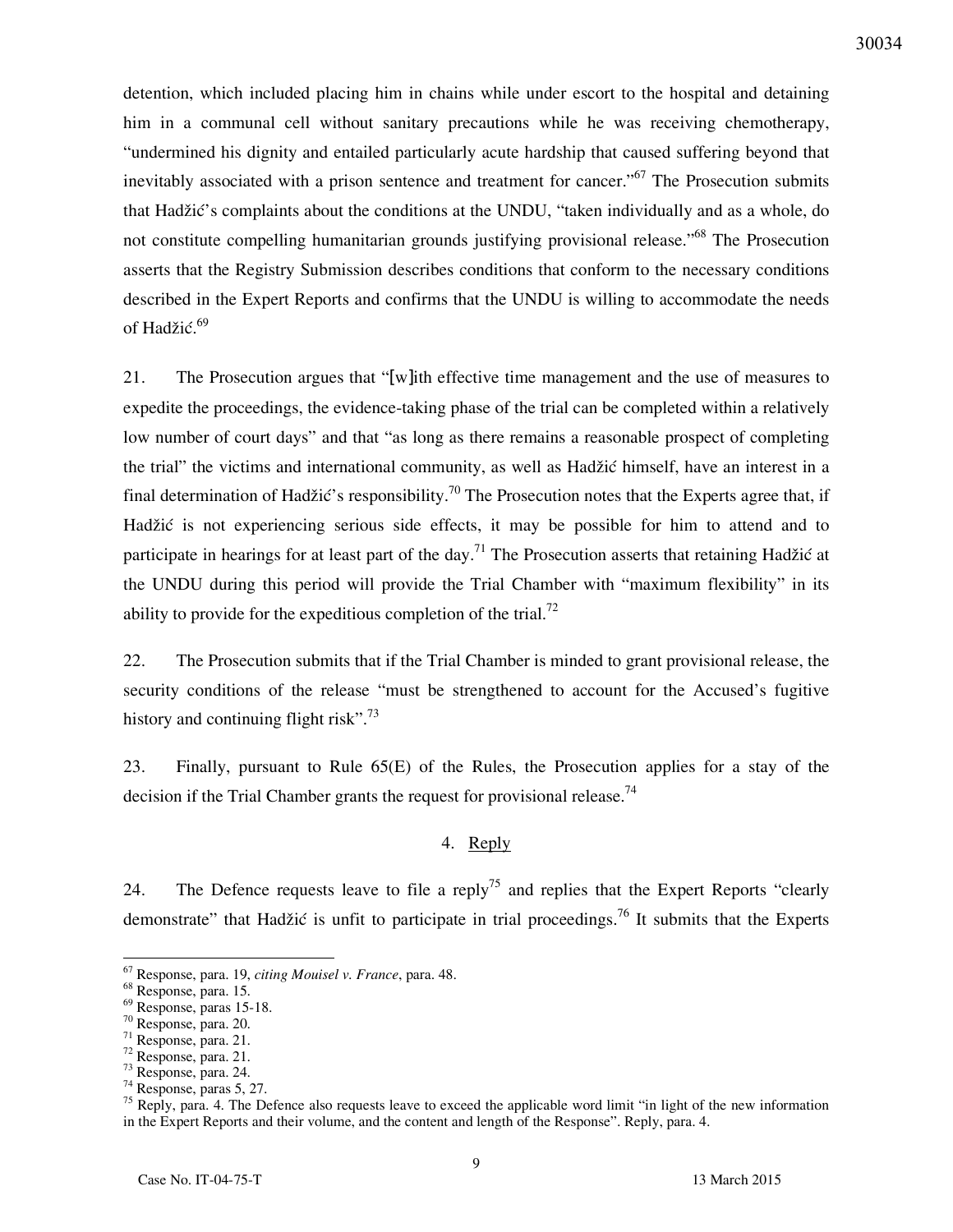detention, which included placing him in chains while under escort to the hospital and detaining him in a communal cell without sanitary precautions while he was receiving chemotherapy, "undermined his dignity and entailed particularly acute hardship that caused suffering beyond that inevitably associated with a prison sentence and treatment for cancer."<sup>67</sup> The Prosecution submits that Hadžić's complaints about the conditions at the UNDU, "taken individually and as a whole, do not constitute compelling humanitarian grounds justifying provisional release."<sup>68</sup> The Prosecution asserts that the Registry Submission describes conditions that conform to the necessary conditions described in the Expert Reports and confirms that the UNDU is willing to accommodate the needs of Hadžić.<sup>69</sup>

21. The Prosecution argues that "[w]ith effective time management and the use of measures to expedite the proceedings, the evidence-taking phase of the trial can be completed within a relatively low number of court days" and that "as long as there remains a reasonable prospect of completing the trial" the victims and international community, as well as Hadžić himself, have an interest in a final determination of Hadžić's responsibility.<sup>70</sup> The Prosecution notes that the Experts agree that, if Hadžić is not experiencing serious side effects, it may be possible for him to attend and to participate in hearings for at least part of the day.<sup>71</sup> The Prosecution asserts that retaining Hadžić at the UNDU during this period will provide the Trial Chamber with "maximum flexibility" in its ability to provide for the expeditious completion of the trial.<sup>72</sup>

22. The Prosecution submits that if the Trial Chamber is minded to grant provisional release, the security conditions of the release "must be strengthened to account for the Accused's fugitive history and continuing flight risk".<sup>73</sup>

23. Finally, pursuant to Rule 65(E) of the Rules, the Prosecution applies for a stay of the decision if the Trial Chamber grants the request for provisional release.<sup>74</sup>

### 4. Reply

24. The Defence requests leave to file a reply<sup>75</sup> and replies that the Expert Reports "clearly" demonstrate" that Hadžić is unfit to participate in trial proceedings.<sup>76</sup> It submits that the Experts

<sup>67</sup> Response, para. 19, *citing Mouisel v. France*, para. 48.

<sup>68</sup> Response, para. 15.

 $69$  Response, paras 15-18.

<sup>70</sup> Response, para. 20.

<sup>71</sup> Response, para. 21.

<sup>72</sup> Response, para. 21.

<sup>73</sup> Response, para. 24.

<sup>74</sup> Response, paras 5, 27.

 $75$  Reply, para. 4. The Defence also requests leave to exceed the applicable word limit "in light of the new information in the Expert Reports and their volume, and the content and length of the Response". Reply, para. 4.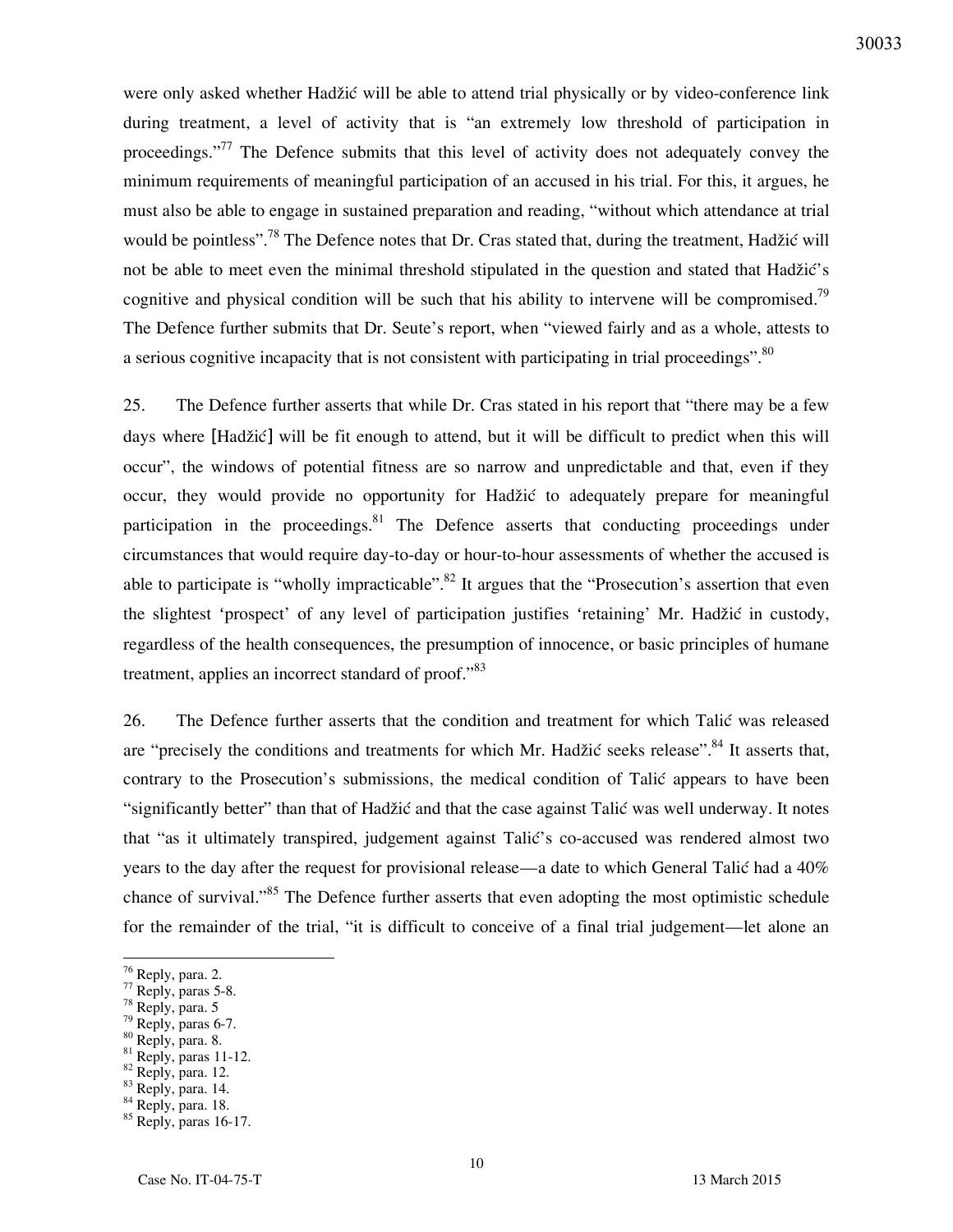were only asked whether Hadžić will be able to attend trial physically or by video-conference link during treatment, a level of activity that is "an extremely low threshold of participation in proceedings."<sup>77</sup> The Defence submits that this level of activity does not adequately convey the minimum requirements of meaningful participation of an accused in his trial. For this, it argues, he must also be able to engage in sustained preparation and reading, "without which attendance at trial would be pointless".<sup>78</sup> The Defence notes that Dr. Cras stated that, during the treatment, Hadžić will not be able to meet even the minimal threshold stipulated in the question and stated that Hadžić's cognitive and physical condition will be such that his ability to intervene will be compromised.<sup>79</sup> The Defence further submits that Dr. Seute's report, when "viewed fairly and as a whole, attests to a serious cognitive incapacity that is not consistent with participating in trial proceedings".<sup>80</sup>

25. The Defence further asserts that while Dr. Cras stated in his report that "there may be a few days where [Hadžić] will be fit enough to attend, but it will be difficult to predict when this will occur", the windows of potential fitness are so narrow and unpredictable and that, even if they occur, they would provide no opportunity for Hadžić to adequately prepare for meaningful participation in the proceedings.<sup>81</sup> The Defence asserts that conducting proceedings under circumstances that would require day-to-day or hour-to-hour assessments of whether the accused is able to participate is "wholly impracticable".<sup>82</sup> It argues that the "Prosecution's assertion that even the slightest 'prospect' of any level of participation justifies 'retaining' Mr. Hadžić in custody, regardless of the health consequences, the presumption of innocence, or basic principles of humane treatment, applies an incorrect standard of proof."<sup>83</sup>

26. The Defence further asserts that the condition and treatment for which Talić was released are "precisely the conditions and treatments for which Mr. Hadžić seeks release".<sup>84</sup> It asserts that, contrary to the Prosecution's submissions, the medical condition of Talić appears to have been "significantly better" than that of Hadžić and that the case against Talić was well underway. It notes that "as it ultimately transpired, judgement against Talić's co-accused was rendered almost two years to the day after the request for provisional release—a date to which General Talić had a 40% chance of survival."<sup>85</sup> The Defence further asserts that even adopting the most optimistic schedule for the remainder of the trial, "it is difficult to conceive of a final trial judgement—let alone an

 $\overline{a}$ 

- $79$  Reply, paras 6-7.
- <sup>80</sup> Reply, para. 8.

83 Reply, para. 14.

<sup>&</sup>lt;sup>76</sup> Reply, para. 2.

 $77$  Reply, paras 5-8.

<sup>78</sup> Reply, para. 5

<sup>81</sup> Reply, paras 11-12.

 $82$  Reply, para. 12.

<sup>84</sup> Reply, para. 18.

<sup>&</sup>lt;sup>85</sup> Reply, paras 16-17.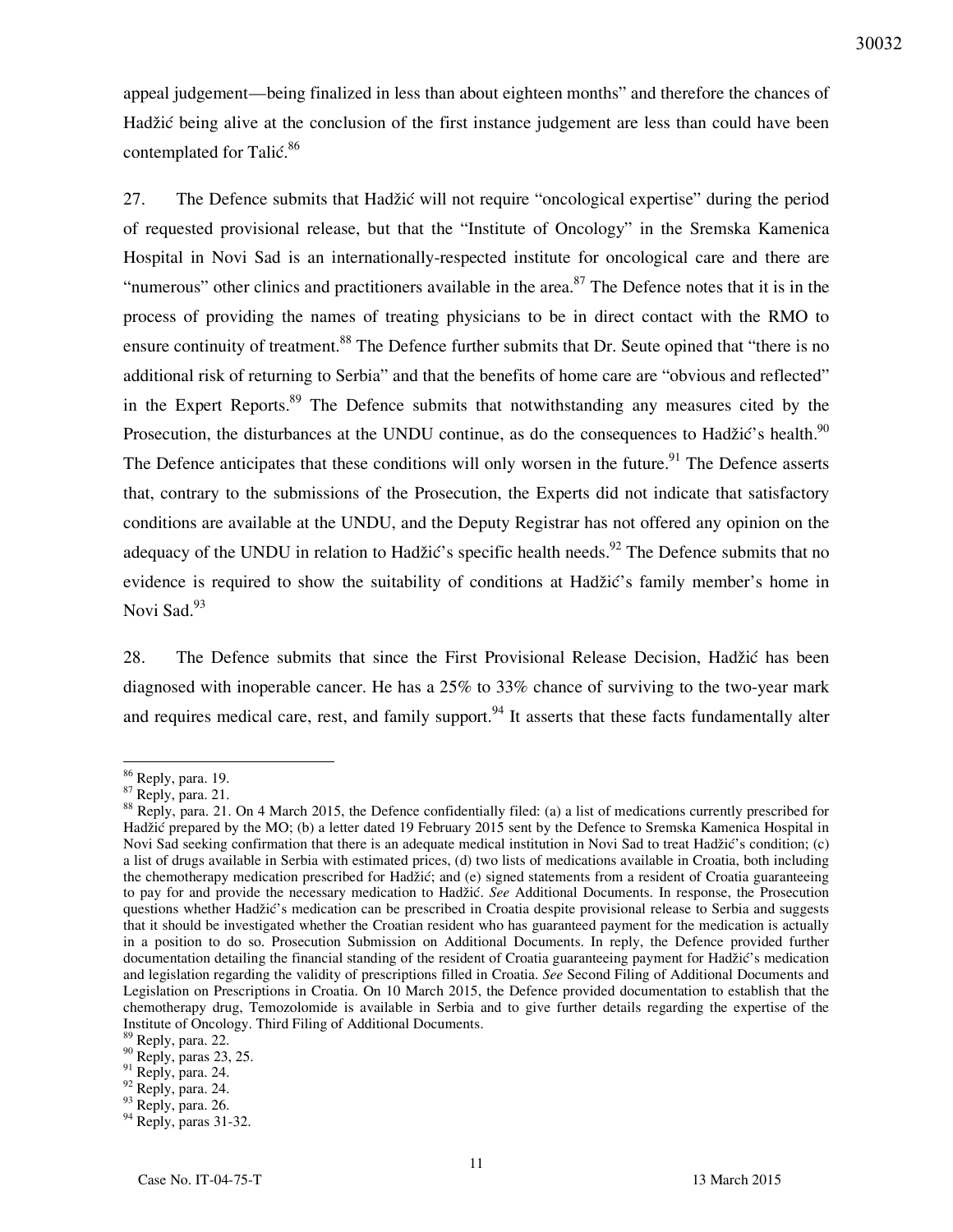appeal judgement—being finalized in less than about eighteen months" and therefore the chances of Hadžić being alive at the conclusion of the first instance judgement are less than could have been contemplated for Talić.<sup>86</sup>

27. The Defence submits that Hadžić will not require "oncological expertise" during the period of requested provisional release, but that the "Institute of Oncology" in the Sremska Kamenica Hospital in Novi Sad is an internationally-respected institute for oncological care and there are "numerous" other clinics and practitioners available in the area. $87$  The Defence notes that it is in the process of providing the names of treating physicians to be in direct contact with the RMO to ensure continuity of treatment.<sup>88</sup> The Defence further submits that Dr. Seute opined that "there is no additional risk of returning to Serbia" and that the benefits of home care are "obvious and reflected" in the Expert Reports.<sup>89</sup> The Defence submits that notwithstanding any measures cited by the Prosecution, the disturbances at the UNDU continue, as do the consequences to Hadžić's health.<sup>90</sup> The Defence anticipates that these conditions will only worsen in the future.<sup>91</sup> The Defence asserts that, contrary to the submissions of the Prosecution, the Experts did not indicate that satisfactory conditions are available at the UNDU, and the Deputy Registrar has not offered any opinion on the adequacy of the UNDU in relation to Hadžić's specific health needs.<sup>92</sup> The Defence submits that no evidence is required to show the suitability of conditions at Hadžić's family member's home in Novi Sad.<sup>93</sup>

28. The Defence submits that since the First Provisional Release Decision, Hadžić has been diagnosed with inoperable cancer. He has a 25% to 33% chance of surviving to the two-year mark and requires medical care, rest, and family support.<sup>94</sup> It asserts that these facts fundamentally alter

<sup>&</sup>lt;sup>86</sup> Reply, para. 19.

<sup>87</sup> Reply, para. 21.

<sup>&</sup>lt;sup>88</sup> Reply, para. 21. On 4 March 2015, the Defence confidentially filed: (a) a list of medications currently prescribed for Hadžić prepared by the MO; (b) a letter dated 19 February 2015 sent by the Defence to Sremska Kamenica Hospital in Novi Sad seeking confirmation that there is an adequate medical institution in Novi Sad to treat Hadžić's condition; (c) a list of drugs available in Serbia with estimated prices, (d) two lists of medications available in Croatia, both including the chemotherapy medication prescribed for Hadžić; and (e) signed statements from a resident of Croatia guaranteeing to pay for and provide the necessary medication to Hadžić. *See* Additional Documents. In response, the Prosecution questions whether Hadžić's medication can be prescribed in Croatia despite provisional release to Serbia and suggests that it should be investigated whether the Croatian resident who has guaranteed payment for the medication is actually in a position to do so. Prosecution Submission on Additional Documents. In reply, the Defence provided further documentation detailing the financial standing of the resident of Croatia guaranteeing payment for Hadžić's medication and legislation regarding the validity of prescriptions filled in Croatia. *See* Second Filing of Additional Documents and Legislation on Prescriptions in Croatia. On 10 March 2015, the Defence provided documentation to establish that the chemotherapy drug, Temozolomide is available in Serbia and to give further details regarding the expertise of the Institute of Oncology. Third Filing of Additional Documents.

<sup>&</sup>lt;sup>89</sup> Reply, para. 22.

 $90$  Reply, paras 23, 25.

 $91$  Reply, para. 24.

 $92$  Reply, para. 24.

 $93$  Reply, para. 26.

<sup>94</sup> Reply, paras 31-32.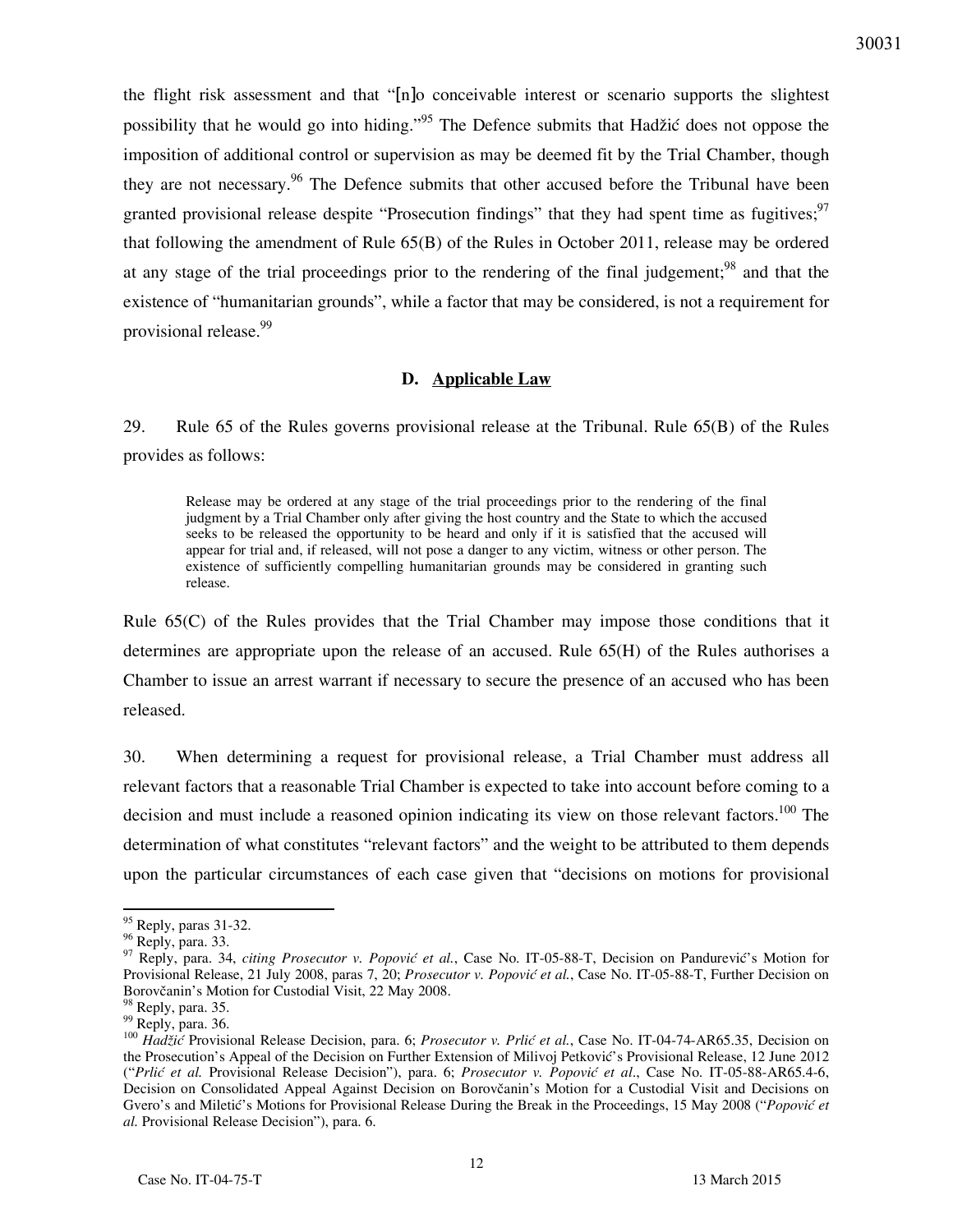the flight risk assessment and that "[n]o conceivable interest or scenario supports the slightest possibility that he would go into hiding."<sup>95</sup> The Defence submits that Hadžić does not oppose the imposition of additional control or supervision as may be deemed fit by the Trial Chamber, though they are not necessary.<sup>96</sup> The Defence submits that other accused before the Tribunal have been granted provisional release despite "Prosecution findings" that they had spent time as fugitives;  $97$ that following the amendment of Rule 65(B) of the Rules in October 2011, release may be ordered at any stage of the trial proceedings prior to the rendering of the final judgement;<sup>98</sup> and that the existence of "humanitarian grounds", while a factor that may be considered, is not a requirement for provisional release.<sup>99</sup>

#### **D. Applicable Law**

29. Rule 65 of the Rules governs provisional release at the Tribunal. Rule 65(B) of the Rules provides as follows:

Release may be ordered at any stage of the trial proceedings prior to the rendering of the final judgment by a Trial Chamber only after giving the host country and the State to which the accused seeks to be released the opportunity to be heard and only if it is satisfied that the accused will appear for trial and, if released, will not pose a danger to any victim, witness or other person. The existence of sufficiently compelling humanitarian grounds may be considered in granting such release.

Rule 65(C) of the Rules provides that the Trial Chamber may impose those conditions that it determines are appropriate upon the release of an accused. Rule 65(H) of the Rules authorises a Chamber to issue an arrest warrant if necessary to secure the presence of an accused who has been released.

30. When determining a request for provisional release, a Trial Chamber must address all relevant factors that a reasonable Trial Chamber is expected to take into account before coming to a decision and must include a reasoned opinion indicating its view on those relevant factors.<sup>100</sup> The determination of what constitutes "relevant factors" and the weight to be attributed to them depends upon the particular circumstances of each case given that "decisions on motions for provisional

 $95$  Reply, paras 31-32.

<sup>96</sup> Reply, para. 33.

<sup>97</sup> Reply, para. 34, *citing Prosecutor v. Popović et al.*, Case No. IT-05-88-T, Decision on Pandurević's Motion for Provisional Release, 21 July 2008, paras 7, 20; *Prosecutor v. Popović et al.*, Case No. IT-05-88-T, Further Decision on Borovčanin's Motion for Custodial Visit, 22 May 2008.

<sup>&</sup>lt;sup>98</sup> Reply, para. 35.

 $99$  Reply, para. 36.

<sup>100</sup> *Hadžić* Provisional Release Decision, para. 6; *Prosecutor v. Prlić et al.*, Case No. IT-04-74-AR65.35, Decision on the Prosecution's Appeal of the Decision on Further Extension of Milivoj Petković's Provisional Release, 12 June 2012 ("*Prlić et al.* Provisional Release Decision"), para. 6; *Prosecutor v. Popović et al*., Case No. IT-05-88-AR65.4-6, Decision on Consolidated Appeal Against Decision on Borovčanin's Motion for a Custodial Visit and Decisions on Gvero's and Miletić's Motions for Provisional Release During the Break in the Proceedings, 15 May 2008 ("*Popović et al.* Provisional Release Decision"), para. 6.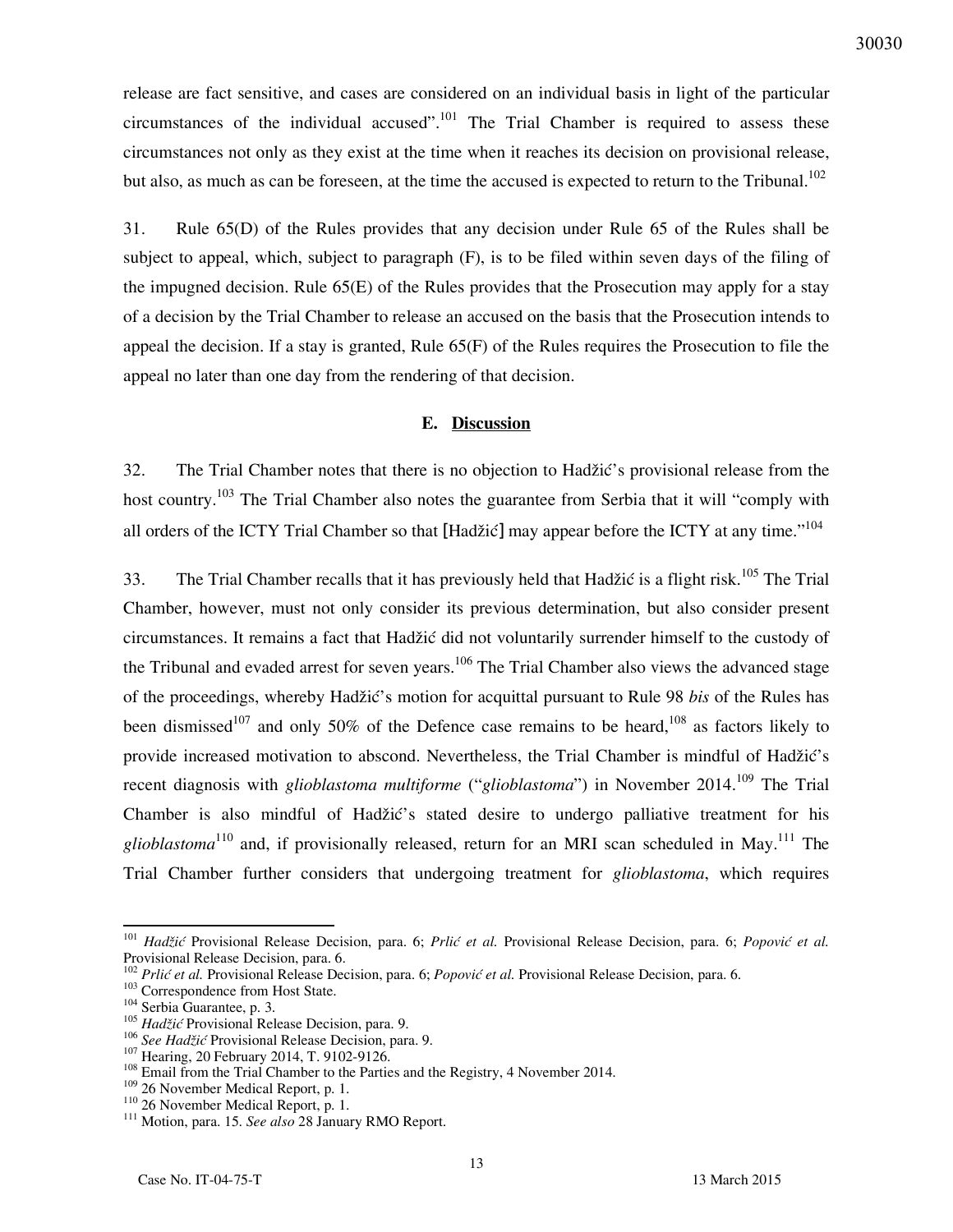release are fact sensitive, and cases are considered on an individual basis in light of the particular circumstances of the individual accused".<sup>101</sup> The Trial Chamber is required to assess these circumstances not only as they exist at the time when it reaches its decision on provisional release, but also, as much as can be foreseen, at the time the accused is expected to return to the Tribunal.<sup>102</sup>

31. Rule 65(D) of the Rules provides that any decision under Rule 65 of the Rules shall be subject to appeal, which, subject to paragraph (F), is to be filed within seven days of the filing of the impugned decision. Rule 65(E) of the Rules provides that the Prosecution may apply for a stay of a decision by the Trial Chamber to release an accused on the basis that the Prosecution intends to appeal the decision. If a stay is granted, Rule 65(F) of the Rules requires the Prosecution to file the appeal no later than one day from the rendering of that decision.

#### **E. Discussion**

32. The Trial Chamber notes that there is no objection to Hadžić's provisional release from the host country.<sup>103</sup> The Trial Chamber also notes the guarantee from Serbia that it will "comply with all orders of the ICTY Trial Chamber so that [Hadžić] may appear before the ICTY at any time."<sup>104</sup>

33. The Trial Chamber recalls that it has previously held that Hadžić is a flight risk.<sup>105</sup> The Trial Chamber, however, must not only consider its previous determination, but also consider present circumstances. It remains a fact that Hadžić did not voluntarily surrender himself to the custody of the Tribunal and evaded arrest for seven years.<sup>106</sup> The Trial Chamber also views the advanced stage of the proceedings, whereby Had`i}'s motion for acquittal pursuant to Rule 98 *bis* of the Rules has been dismissed<sup>107</sup> and only 50% of the Defence case remains to be heard,<sup>108</sup> as factors likely to provide increased motivation to abscond. Nevertheless, the Trial Chamber is mindful of Hadžić's recent diagnosis with *glioblastoma multiforme* ("*glioblastoma*") in November 2014.<sup>109</sup> The Trial Chamber is also mindful of Hadžić's stated desire to undergo palliative treatment for his *glioblastoma*<sup>110</sup> and, if provisionally released, return for an MRI scan scheduled in May.<sup>111</sup> The Trial Chamber further considers that undergoing treatment for *glioblastoma*, which requires

<sup>101</sup> *Hadžić* Provisional Release Decision, para. 6; *Prlić et al.* Provisional Release Decision, para. 6; *Popović et al.* Provisional Release Decision, para. 6.

<sup>&</sup>lt;sup>102</sup> Prlić et al. Provisional Release Decision, para. 6; Popović et al. Provisional Release Decision, para. 6.

<sup>&</sup>lt;sup>103</sup> Correspondence from Host State.

<sup>104</sup> Serbia Guarantee, p. 3.

<sup>105</sup> *Hadžić* Provisional Release Decision, para. 9.

<sup>106</sup> *See Hadžić* Provisional Release Decision, para. 9.

<sup>&</sup>lt;sup>107</sup> Hearing, 20 February 2014, T. 9102-9126.

<sup>&</sup>lt;sup>108</sup> Email from the Trial Chamber to the Parties and the Registry, 4 November 2014.

<sup>109</sup> 26 November Medical Report, p. 1.

<sup>110</sup> 26 November Medical Report, p. 1.

<sup>111</sup> Motion, para. 15. *See also* 28 January RMO Report.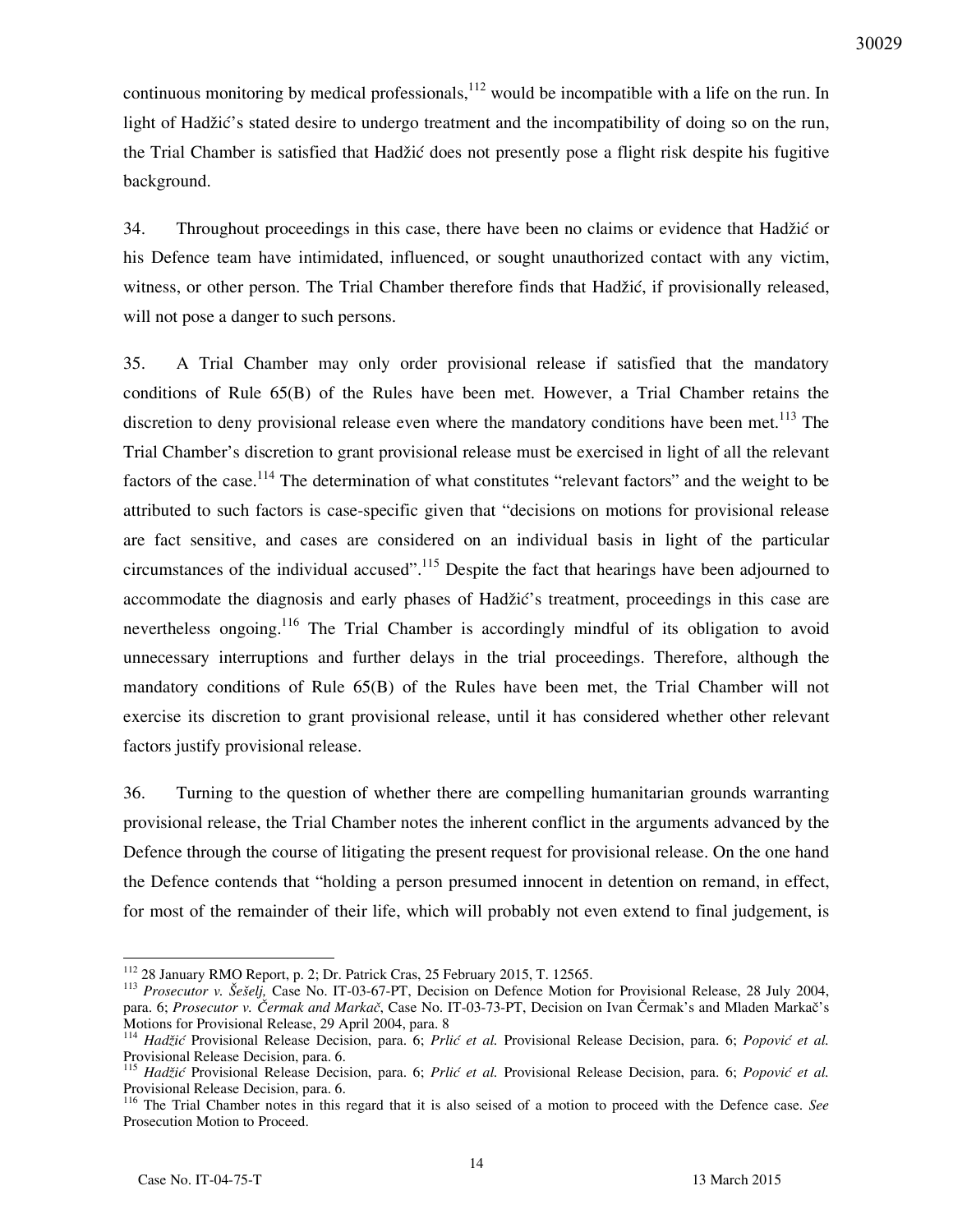continuous monitoring by medical professionals,  $112$  would be incompatible with a life on the run. In light of Hadžić's stated desire to undergo treatment and the incompatibility of doing so on the run, the Trial Chamber is satisfied that Hadžić does not presently pose a flight risk despite his fugitive background.

34. Throughout proceedings in this case, there have been no claims or evidence that Hadžić or his Defence team have intimidated, influenced, or sought unauthorized contact with any victim, witness, or other person. The Trial Chamber therefore finds that Hadžić, if provisionally released, will not pose a danger to such persons.

35. A Trial Chamber may only order provisional release if satisfied that the mandatory conditions of Rule 65(B) of the Rules have been met. However, a Trial Chamber retains the discretion to deny provisional release even where the mandatory conditions have been met.<sup>113</sup> The Trial Chamber's discretion to grant provisional release must be exercised in light of all the relevant factors of the case.<sup>114</sup> The determination of what constitutes "relevant factors" and the weight to be attributed to such factors is case-specific given that "decisions on motions for provisional release are fact sensitive, and cases are considered on an individual basis in light of the particular circumstances of the individual accused".<sup>115</sup> Despite the fact that hearings have been adjourned to accommodate the diagnosis and early phases of Hadžić's treatment, proceedings in this case are nevertheless ongoing.<sup>116</sup> The Trial Chamber is accordingly mindful of its obligation to avoid unnecessary interruptions and further delays in the trial proceedings. Therefore, although the mandatory conditions of Rule 65(B) of the Rules have been met, the Trial Chamber will not exercise its discretion to grant provisional release, until it has considered whether other relevant factors justify provisional release.

36. Turning to the question of whether there are compelling humanitarian grounds warranting provisional release, the Trial Chamber notes the inherent conflict in the arguments advanced by the Defence through the course of litigating the present request for provisional release. On the one hand the Defence contends that "holding a person presumed innocent in detention on remand, in effect, for most of the remainder of their life, which will probably not even extend to final judgement, is

<sup>112</sup> 28 January RMO Report, p. 2; Dr. Patrick Cras, 25 February 2015, T. 12565.

<sup>&</sup>lt;sup>113</sup> Prosecutor v. Šešelj, Case No. IT-03-67-PT, Decision on Defence Motion for Provisional Release, 28 July 2004, para. 6; Prosecutor v. Čermak and Markač, Case No. IT-03-73-PT, Decision on Ivan Čermak's and Mladen Markač's Motions for Provisional Release, 29 April 2004, para. 8

<sup>114</sup> *Hadžić* Provisional Release Decision, para. 6; *Prlić et al.* Provisional Release Decision, para. 6; *Popović et al.* Provisional Release Decision, para. 6.

<sup>115</sup> *Hadžić* Provisional Release Decision, para. 6; *Prlić et al.* Provisional Release Decision, para. 6; *Popović et al.* Provisional Release Decision, para. 6.

<sup>116</sup> The Trial Chamber notes in this regard that it is also seised of a motion to proceed with the Defence case. *See*  Prosecution Motion to Proceed.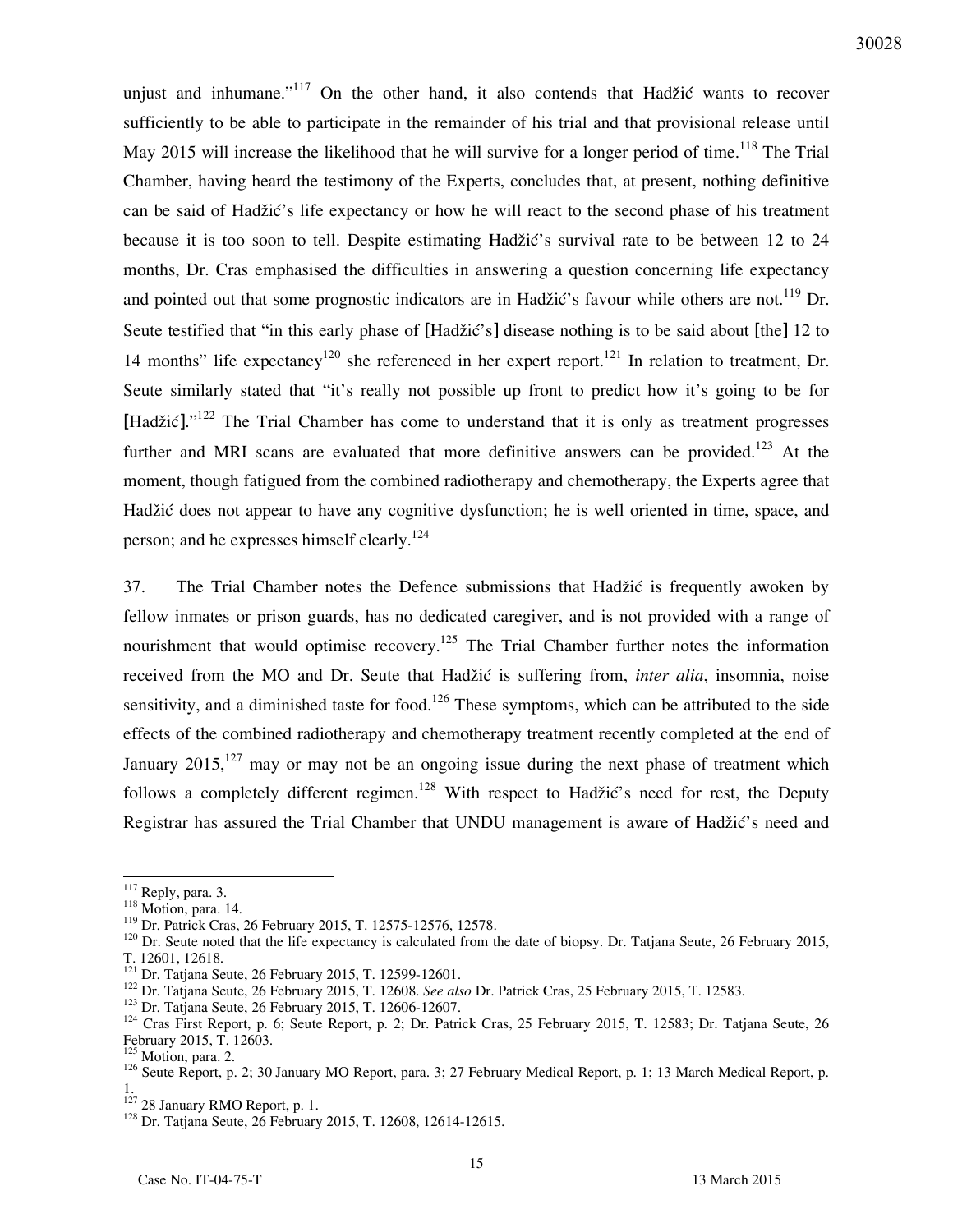unjust and inhumane."<sup>117</sup> On the other hand, it also contends that Hadžić wants to recover sufficiently to be able to participate in the remainder of his trial and that provisional release until May 2015 will increase the likelihood that he will survive for a longer period of time.<sup>118</sup> The Trial Chamber, having heard the testimony of the Experts, concludes that, at present, nothing definitive can be said of Hadžić's life expectancy or how he will react to the second phase of his treatment because it is too soon to tell. Despite estimating Hadžić's survival rate to be between 12 to 24 months, Dr. Cras emphasised the difficulties in answering a question concerning life expectancy and pointed out that some prognostic indicators are in Hadžić's favour while others are not.<sup>119</sup> Dr. Seute testified that "in this early phase of [Hadžić's] disease nothing is to be said about [the] 12 to 14 months" life expectancy<sup>120</sup> she referenced in her expert report.<sup>121</sup> In relation to treatment, Dr. Seute similarly stated that "it's really not possible up front to predict how it's going to be for [Hadžić]."<sup>122</sup> The Trial Chamber has come to understand that it is only as treatment progresses further and MRI scans are evaluated that more definitive answers can be provided.<sup>123</sup> At the moment, though fatigued from the combined radiotherapy and chemotherapy, the Experts agree that Hadžić does not appear to have any cognitive dysfunction; he is well oriented in time, space, and person; and he expresses himself clearly.<sup>124</sup>

37. The Trial Chamber notes the Defence submissions that Hadžić is frequently awoken by fellow inmates or prison guards, has no dedicated caregiver, and is not provided with a range of nourishment that would optimise recovery.<sup>125</sup> The Trial Chamber further notes the information received from the MO and Dr. Seute that Hadžić is suffering from, *inter alia*, insomnia, noise sensitivity, and a diminished taste for food.<sup>126</sup> These symptoms, which can be attributed to the side effects of the combined radiotherapy and chemotherapy treatment recently completed at the end of January 2015,<sup>127</sup> may or may not be an ongoing issue during the next phase of treatment which follows a completely different regimen.<sup>128</sup> With respect to Hadžić's need for rest, the Deputy Registrar has assured the Trial Chamber that UNDU management is aware of Hadžić's need and

 $117$  Reply, para. 3.

<sup>118</sup> Motion, para. 14.

<sup>119</sup> Dr. Patrick Cras, 26 February 2015, T. 12575-12576, 12578.

 $120$  Dr. Seute noted that the life expectancy is calculated from the date of biopsy. Dr. Tatjana Seute, 26 February 2015, T. 12601, 12618.

<sup>&</sup>lt;sup>121</sup> Dr. Tatjana Seute, 26 February 2015, T. 12599-12601.

<sup>122</sup> Dr. Tatjana Seute, 26 February 2015, T. 12608. *See also* Dr. Patrick Cras, 25 February 2015, T. 12583.

<sup>123</sup> Dr. Tatjana Seute, 26 February 2015, T. 12606-12607.

<sup>&</sup>lt;sup>124</sup> Cras First Report, p. 6; Seute Report, p. 2; Dr. Patrick Cras, 25 February 2015, T. 12583; Dr. Tatjana Seute, 26 February 2015, T. 12603.

<sup>&</sup>lt;sup>125</sup> Motion, para. 2.

<sup>&</sup>lt;sup>126</sup> Seute Report, p. 2; 30 January MO Report, para. 3; 27 February Medical Report, p. 1; 13 March Medical Report, p. 1.

<sup>&</sup>lt;sup>127</sup> 28 January RMO Report, p. 1.

<sup>128</sup> Dr. Tatjana Seute, 26 February 2015, T. 12608, 12614-12615.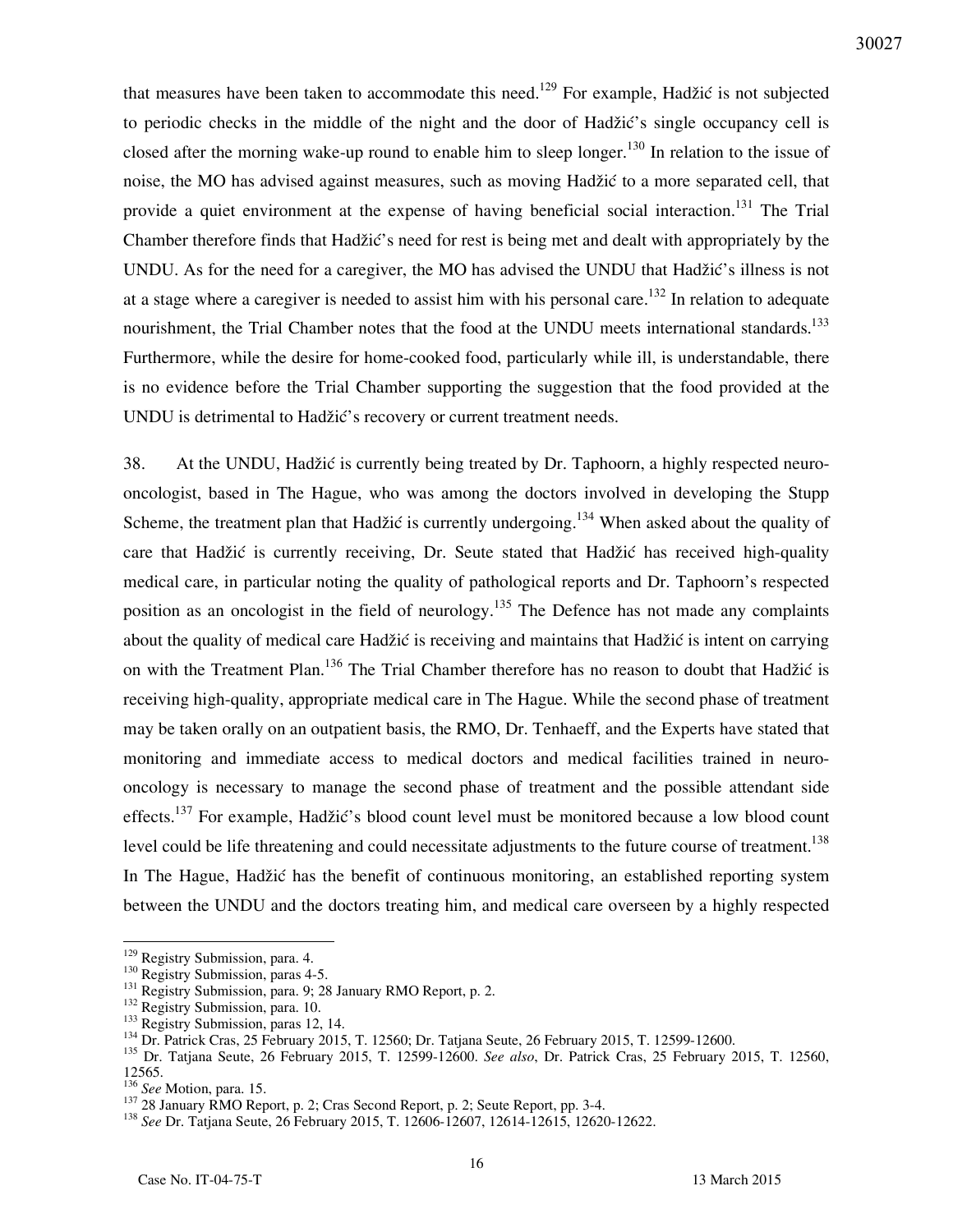that measures have been taken to accommodate this need.<sup>129</sup> For example, Hadžić is not subjected to periodic checks in the middle of the night and the door of Hadžić's single occupancy cell is closed after the morning wake-up round to enable him to sleep longer.<sup>130</sup> In relation to the issue of noise, the MO has advised against measures, such as moving Hadžić to a more separated cell, that provide a quiet environment at the expense of having beneficial social interaction.<sup>131</sup> The Trial Chamber therefore finds that Hadžić's need for rest is being met and dealt with appropriately by the UNDU. As for the need for a caregiver, the MO has advised the UNDU that Hadžić's illness is not at a stage where a caregiver is needed to assist him with his personal care.<sup>132</sup> In relation to adequate nourishment, the Trial Chamber notes that the food at the UNDU meets international standards.<sup>133</sup> Furthermore, while the desire for home-cooked food, particularly while ill, is understandable, there is no evidence before the Trial Chamber supporting the suggestion that the food provided at the UNDU is detrimental to Hadžić's recovery or current treatment needs.

38. At the UNDU, Hadžić is currently being treated by Dr. Taphoorn, a highly respected neurooncologist, based in The Hague, who was among the doctors involved in developing the Stupp Scheme, the treatment plan that Hadžić is currently undergoing.<sup>134</sup> When asked about the quality of care that Hadžić is currently receiving, Dr. Seute stated that Hadžić has received high-quality medical care, in particular noting the quality of pathological reports and Dr. Taphoorn's respected position as an oncologist in the field of neurology.<sup>135</sup> The Defence has not made any complaints about the quality of medical care Hadžić is receiving and maintains that Hadžić is intent on carrying on with the Treatment Plan.<sup>136</sup> The Trial Chamber therefore has no reason to doubt that Hadžić is receiving high-quality, appropriate medical care in The Hague. While the second phase of treatment may be taken orally on an outpatient basis, the RMO, Dr. Tenhaeff, and the Experts have stated that monitoring and immediate access to medical doctors and medical facilities trained in neurooncology is necessary to manage the second phase of treatment and the possible attendant side effects.<sup>137</sup> For example, Hadžić's blood count level must be monitored because a low blood count level could be life threatening and could necessitate adjustments to the future course of treatment.<sup>138</sup> In The Hague, Hadžić has the benefit of continuous monitoring, an established reporting system between the UNDU and the doctors treating him, and medical care overseen by a highly respected

<sup>&</sup>lt;sup>129</sup> Registry Submission, para. 4.

<sup>&</sup>lt;sup>130</sup> Registry Submission, paras 4-5.

<sup>&</sup>lt;sup>131</sup> Registry Submission, para. 9; 28 January RMO Report, p. 2.

<sup>&</sup>lt;sup>132</sup> Registry Submission, para. 10.

<sup>&</sup>lt;sup>133</sup> Registry Submission, paras 12, 14.

<sup>134</sup> Dr. Patrick Cras, 25 February 2015, T. 12560; Dr. Tatjana Seute, 26 February 2015, T. 12599-12600.

<sup>135</sup> Dr. Tatjana Seute, 26 February 2015, T. 12599-12600. *See also*, Dr. Patrick Cras, 25 February 2015, T. 12560, 12565.

<sup>136</sup> *See* Motion, para. 15.

<sup>&</sup>lt;sup>137</sup> 28 January RMO Report, p. 2; Cras Second Report, p. 2; Seute Report, pp. 3-4.

<sup>138</sup> *See* Dr. Tatjana Seute, 26 February 2015, T. 12606-12607, 12614-12615, 12620-12622.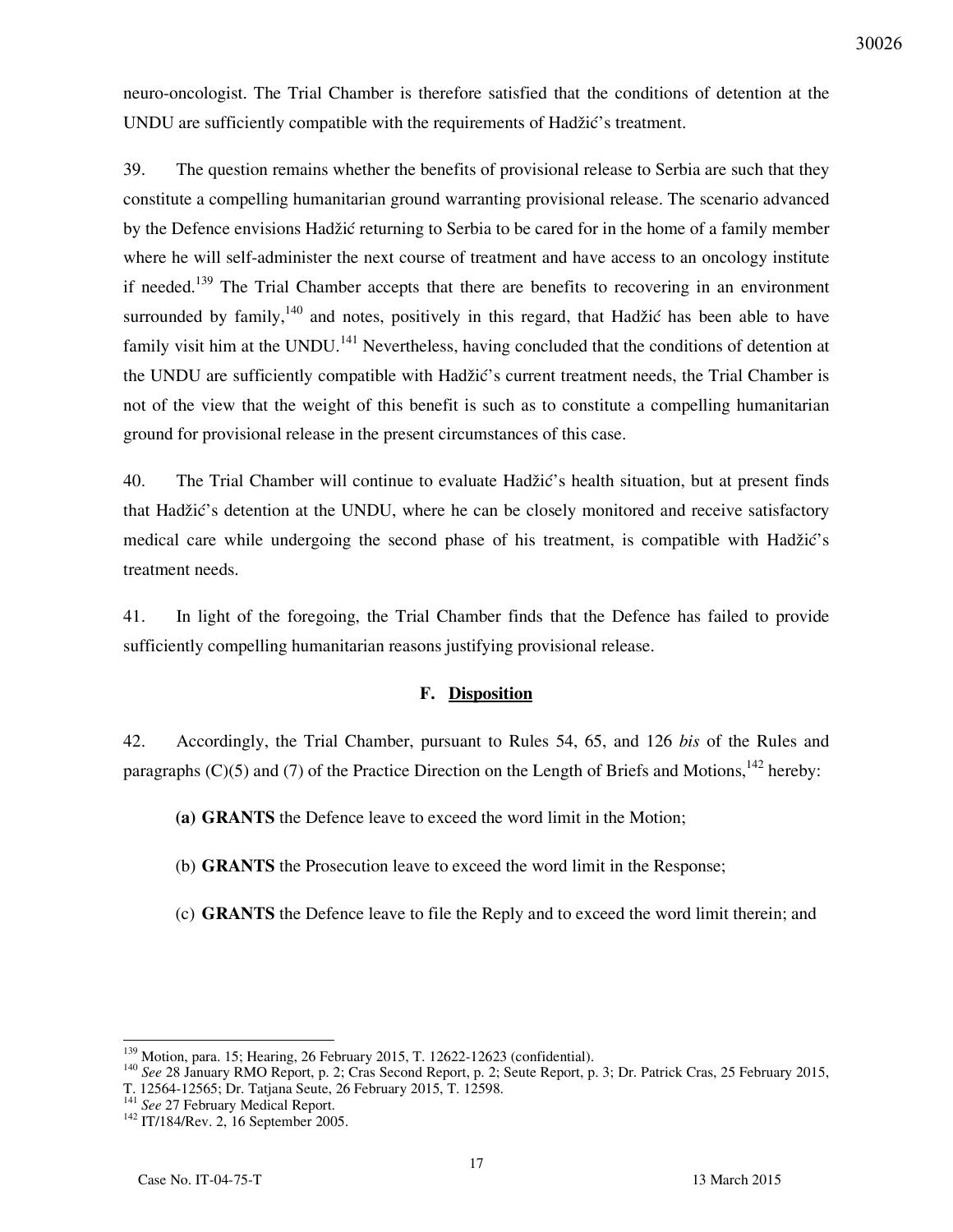neuro-oncologist. The Trial Chamber is therefore satisfied that the conditions of detention at the UNDU are sufficiently compatible with the requirements of Hadžić's treatment.

39. The question remains whether the benefits of provisional release to Serbia are such that they constitute a compelling humanitarian ground warranting provisional release. The scenario advanced by the Defence envisions Hadžić returning to Serbia to be cared for in the home of a family member where he will self-administer the next course of treatment and have access to an oncology institute if needed.<sup>139</sup> The Trial Chamber accepts that there are benefits to recovering in an environment surrounded by family,  $140$  and notes, positively in this regard, that Hadžić has been able to have family visit him at the UNDU.<sup>141</sup> Nevertheless, having concluded that the conditions of detention at the UNDU are sufficiently compatible with Hadžić's current treatment needs, the Trial Chamber is not of the view that the weight of this benefit is such as to constitute a compelling humanitarian ground for provisional release in the present circumstances of this case.

40. The Trial Chamber will continue to evaluate Hadžić's health situation, but at present finds that Hadžić's detention at the UNDU, where he can be closely monitored and receive satisfactory medical care while undergoing the second phase of his treatment, is compatible with Hadžić's treatment needs.

41. In light of the foregoing, the Trial Chamber finds that the Defence has failed to provide sufficiently compelling humanitarian reasons justifying provisional release.

### **F. Disposition**

42. Accordingly, the Trial Chamber, pursuant to Rules 54, 65, and 126 *bis* of the Rules and paragraphs (C)(5) and (7) of the Practice Direction on the Length of Briefs and Motions,<sup>142</sup> hereby:

**(a) GRANTS** the Defence leave to exceed the word limit in the Motion;

(b) **GRANTS** the Prosecution leave to exceed the word limit in the Response;

(c) **GRANTS** the Defence leave to file the Reply and to exceed the word limit therein; and

<sup>&</sup>lt;sup>139</sup> Motion, para. 15; Hearing, 26 February 2015, T. 12622-12623 (confidential).

<sup>140</sup> *See* 28 January RMO Report, p. 2; Cras Second Report, p. 2; Seute Report, p. 3; Dr. Patrick Cras, 25 February 2015,

T. 12564-12565; Dr. Tatjana Seute, 26 February 2015, T. 12598.

<sup>&</sup>lt;sup>141</sup> See 27 February Medical Report.

<sup>&</sup>lt;sup>142</sup> IT/184/Rev. 2, 16 September 2005.